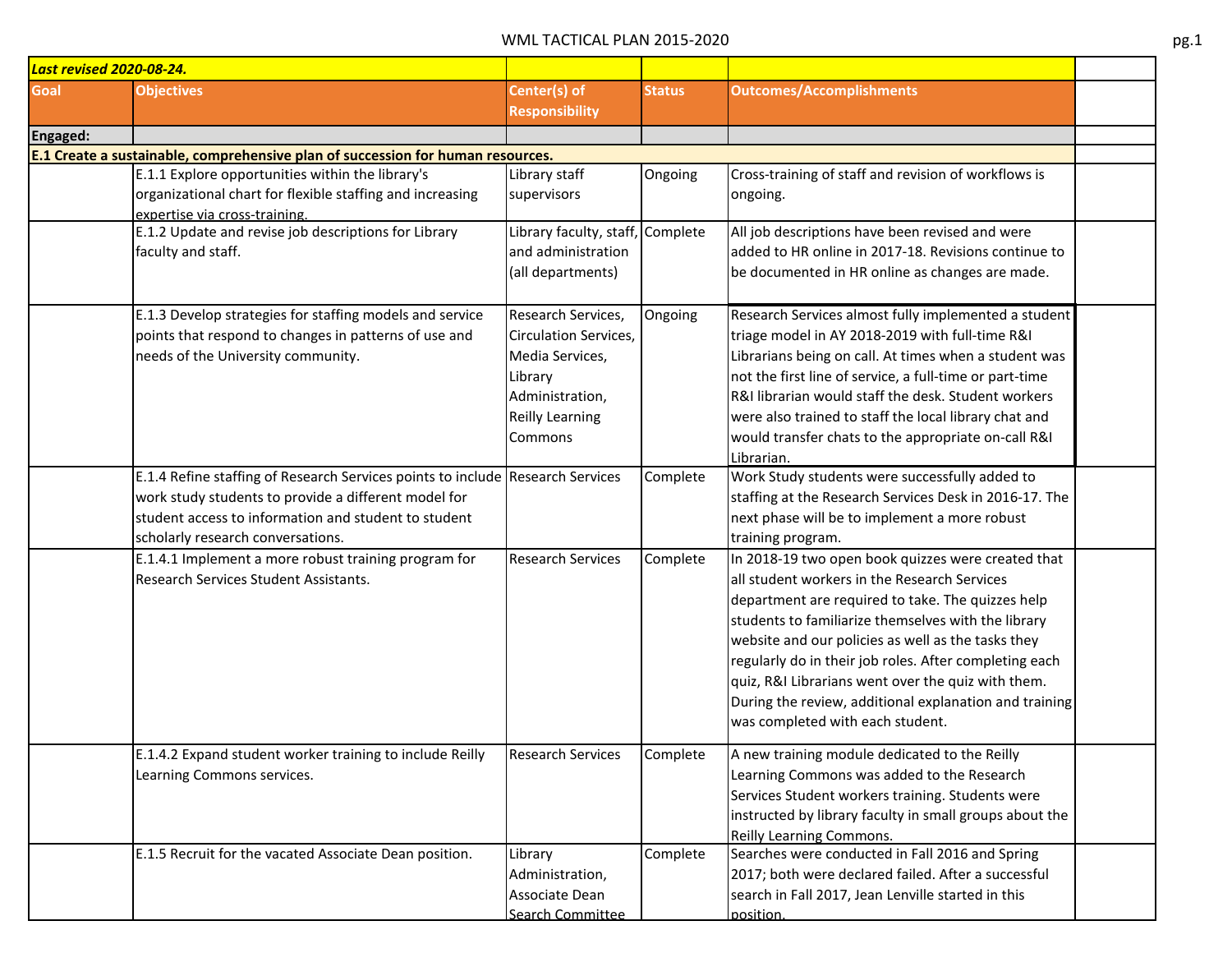|          | <b>Last revised 2020-08-24.</b>                                                                                                                                                                                                     |                                                                                                                                   |               |                                                                                                                                                                                                                                                                                                                                                                                                                                                                                    |  |
|----------|-------------------------------------------------------------------------------------------------------------------------------------------------------------------------------------------------------------------------------------|-----------------------------------------------------------------------------------------------------------------------------------|---------------|------------------------------------------------------------------------------------------------------------------------------------------------------------------------------------------------------------------------------------------------------------------------------------------------------------------------------------------------------------------------------------------------------------------------------------------------------------------------------------|--|
| Goal     | <b>Objectives</b>                                                                                                                                                                                                                   | Center(s) of<br><b>Responsibility</b>                                                                                             | <b>Status</b> | <b>Outcomes/Accomplishments</b>                                                                                                                                                                                                                                                                                                                                                                                                                                                    |  |
| Engaged: |                                                                                                                                                                                                                                     |                                                                                                                                   |               |                                                                                                                                                                                                                                                                                                                                                                                                                                                                                    |  |
|          | E.1 Create a sustainable, comprehensive plan of succession for human resources.                                                                                                                                                     |                                                                                                                                   |               |                                                                                                                                                                                                                                                                                                                                                                                                                                                                                    |  |
|          | E.1.1 Explore opportunities within the library's<br>organizational chart for flexible staffing and increasing<br>expertise via cross-training.                                                                                      | Library staff<br>supervisors                                                                                                      | Ongoing       | Cross-training of staff and revision of workflows is<br>ongoing.                                                                                                                                                                                                                                                                                                                                                                                                                   |  |
|          | E.1.2 Update and revise job descriptions for Library<br>faculty and staff.                                                                                                                                                          | Library faculty, staff,<br>and administration<br>(all departments)                                                                | Complete      | All job descriptions have been revised and were<br>added to HR online in 2017-18. Revisions continue to<br>be documented in HR online as changes are made.                                                                                                                                                                                                                                                                                                                         |  |
|          | E.1.3 Develop strategies for staffing models and service<br>points that respond to changes in patterns of use and<br>needs of the University community.                                                                             | Research Services,<br><b>Circulation Services,</b><br>Media Services,<br>Library<br>Administration,<br>Reilly Learning<br>Commons | Ongoing       | Research Services almost fully implemented a student<br>triage model in AY 2018-2019 with full-time R&I<br>Librarians being on call. At times when a student was<br>not the first line of service, a full-time or part-time<br>R&I librarian would staff the desk. Student workers<br>were also trained to staff the local library chat and<br>would transfer chats to the appropriate on-call R&I<br>Librarian.                                                                   |  |
|          | E.1.4 Refine staffing of Research Services points to include Research Services<br>work study students to provide a different model for<br>student access to information and student to student<br>scholarly research conversations. |                                                                                                                                   | Complete      | Work Study students were successfully added to<br>staffing at the Research Services Desk in 2016-17. The<br>next phase will be to implement a more robust<br>training program.                                                                                                                                                                                                                                                                                                     |  |
|          | E.1.4.1 Implement a more robust training program for<br>Research Services Student Assistants.                                                                                                                                       | <b>Research Services</b>                                                                                                          | Complete      | In 2018-19 two open book quizzes were created that<br>all student workers in the Research Services<br>department are required to take. The quizzes help<br>students to familiarize themselves with the library<br>website and our policies as well as the tasks they<br>regularly do in their job roles. After completing each<br>quiz, R&I Librarians went over the quiz with them.<br>During the review, additional explanation and training<br>was completed with each student. |  |
|          | E.1.4.2 Expand student worker training to include Reilly<br>Learning Commons services.                                                                                                                                              | <b>Research Services</b>                                                                                                          | Complete      | A new training module dedicated to the Reilly<br>Learning Commons was added to the Research<br>Services Student workers training. Students were<br>instructed by library faculty in small groups about the<br>Reilly Learning Commons.                                                                                                                                                                                                                                             |  |
|          | E.1.5 Recruit for the vacated Associate Dean position.                                                                                                                                                                              | Library<br>Administration,<br>Associate Dean<br>Search Committee                                                                  | Complete      | Searches were conducted in Fall 2016 and Spring<br>2017; both were declared failed. After a successful<br>search in Fall 2017, Jean Lenville started in this<br>nosition.                                                                                                                                                                                                                                                                                                          |  |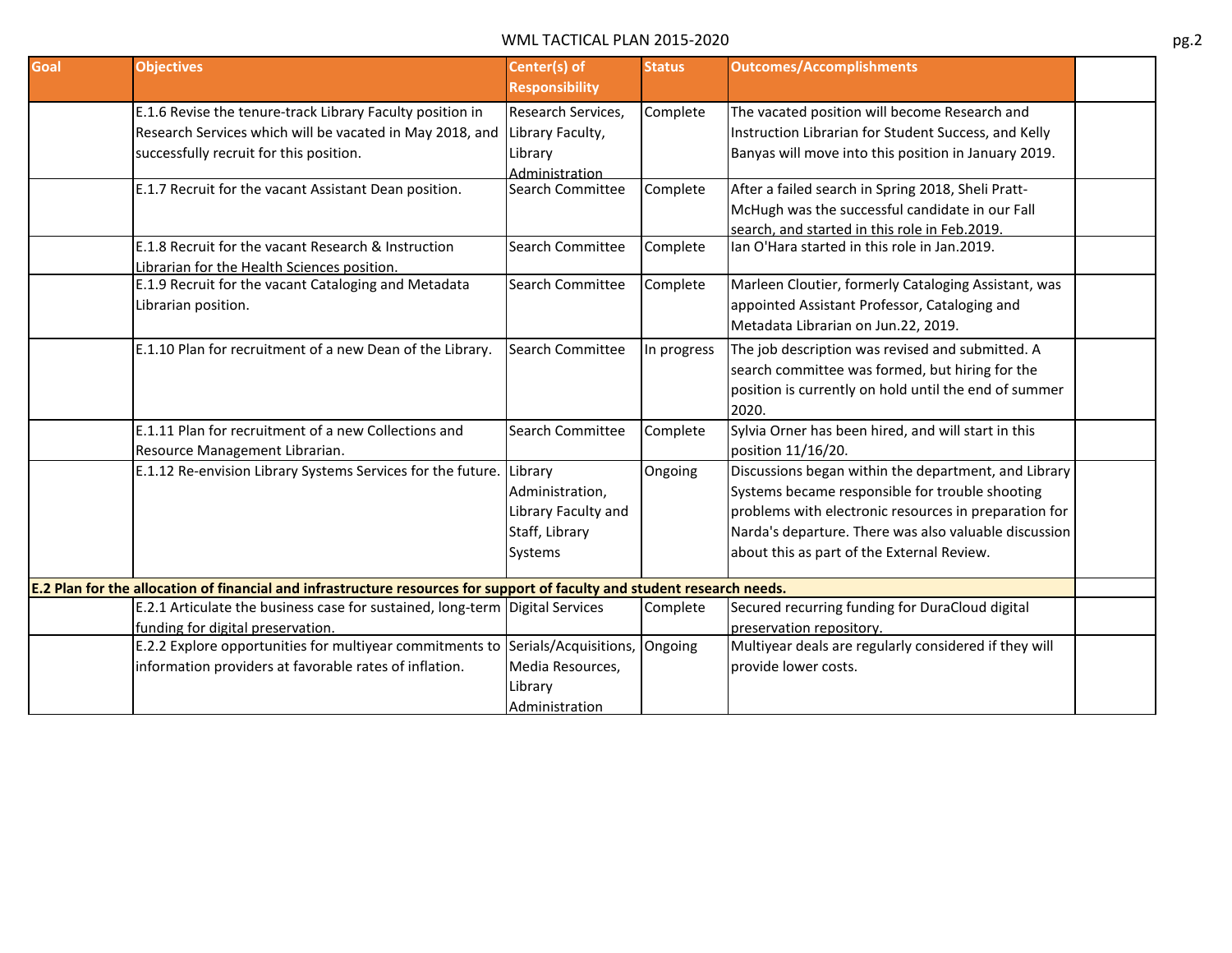| Goal | <b>Objectives</b>                                                                                                                                                | Center(s) of<br><b>Responsibility</b>                                                 | <b>Status</b> | <b>Outcomes/Accomplishments</b>                                                                                                                                                                                                                                         |  |
|------|------------------------------------------------------------------------------------------------------------------------------------------------------------------|---------------------------------------------------------------------------------------|---------------|-------------------------------------------------------------------------------------------------------------------------------------------------------------------------------------------------------------------------------------------------------------------------|--|
|      | E.1.6 Revise the tenure-track Library Faculty position in<br>Research Services which will be vacated in May 2018, and<br>successfully recruit for this position. | Research Services,<br>Library Faculty,<br>Library<br>Administration                   | Complete      | The vacated position will become Research and<br>Instruction Librarian for Student Success, and Kelly<br>Banyas will move into this position in January 2019.                                                                                                           |  |
|      | E.1.7 Recruit for the vacant Assistant Dean position.                                                                                                            | Search Committee                                                                      | Complete      | After a failed search in Spring 2018, Sheli Pratt-<br>McHugh was the successful candidate in our Fall<br>search, and started in this role in Feb.2019.                                                                                                                  |  |
|      | E.1.8 Recruit for the vacant Research & Instruction<br>Librarian for the Health Sciences position.                                                               | Search Committee                                                                      | Complete      | Ian O'Hara started in this role in Jan.2019.                                                                                                                                                                                                                            |  |
|      | E.1.9 Recruit for the vacant Cataloging and Metadata<br>Librarian position.                                                                                      | <b>Search Committee</b>                                                               | Complete      | Marleen Cloutier, formerly Cataloging Assistant, was<br>appointed Assistant Professor, Cataloging and<br>Metadata Librarian on Jun.22, 2019.                                                                                                                            |  |
|      | E.1.10 Plan for recruitment of a new Dean of the Library.                                                                                                        | Search Committee                                                                      | In progress   | The job description was revised and submitted. A<br>search committee was formed, but hiring for the<br>position is currently on hold until the end of summer<br>2020.                                                                                                   |  |
|      | E.1.11 Plan for recruitment of a new Collections and<br>Resource Management Librarian.                                                                           | Search Committee                                                                      | Complete      | Sylvia Orner has been hired, and will start in this<br>position 11/16/20.                                                                                                                                                                                               |  |
|      | E.1.12 Re-envision Library Systems Services for the future.                                                                                                      | Library<br>Administration,<br>Library Faculty and<br>Staff, Library<br><b>Systems</b> | Ongoing       | Discussions began within the department, and Library<br>Systems became responsible for trouble shooting<br>problems with electronic resources in preparation for<br>Narda's departure. There was also valuable discussion<br>about this as part of the External Review. |  |
|      | E.2 Plan for the allocation of financial and infrastructure resources for support of faculty and student research needs.                                         |                                                                                       |               |                                                                                                                                                                                                                                                                         |  |
|      | E.2.1 Articulate the business case for sustained, long-term   Digital Services<br>funding for digital preservation.                                              |                                                                                       | Complete      | Secured recurring funding for DuraCloud digital<br>preservation repository.                                                                                                                                                                                             |  |
|      | E.2.2 Explore opportunities for multiyear commitments to Serials/Acquisitions,<br>information providers at favorable rates of inflation.                         | Media Resources,<br>Library<br>Administration                                         | Ongoing       | Multiyear deals are regularly considered if they will<br>provide lower costs.                                                                                                                                                                                           |  |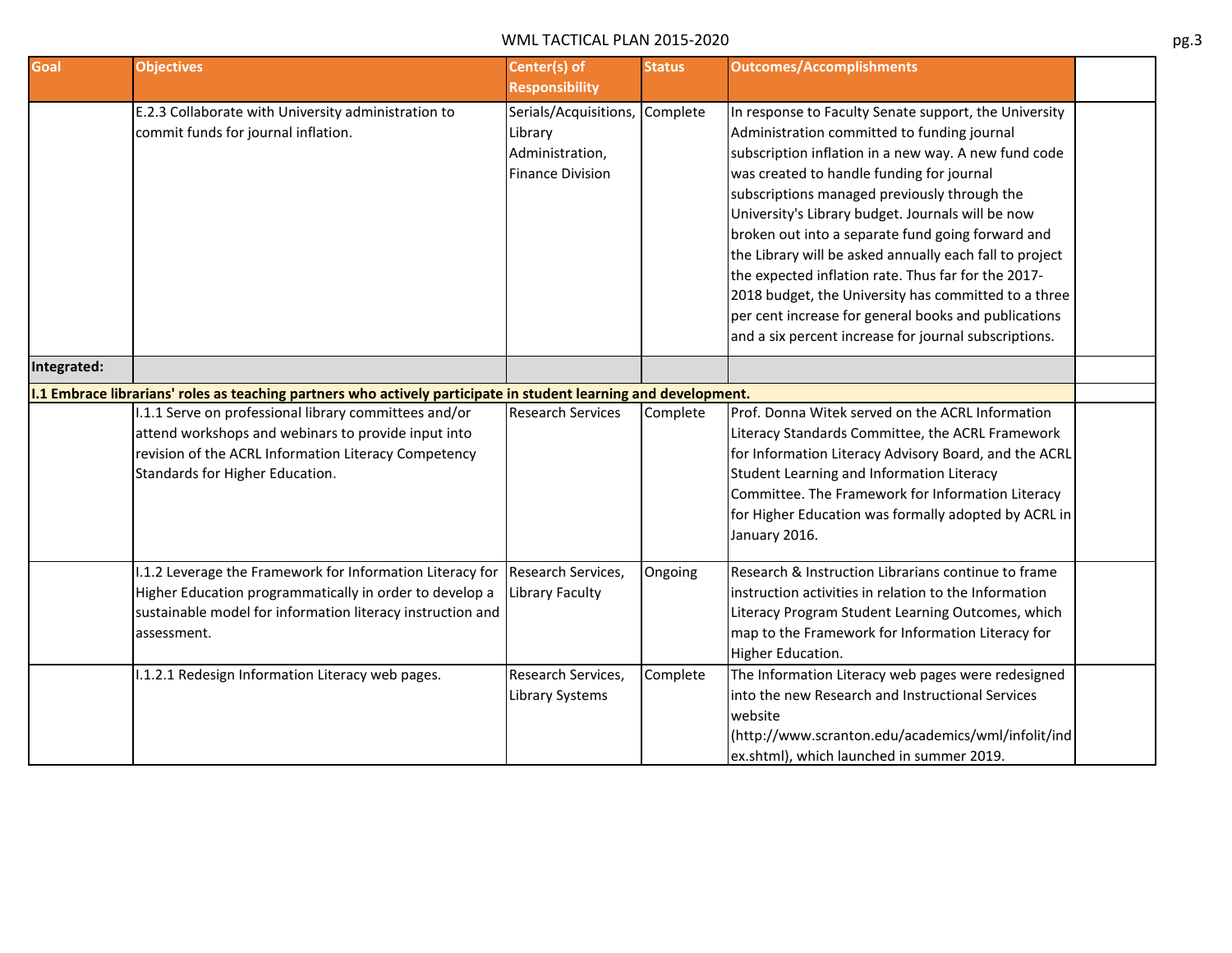| Goal        | <b>Objectives</b>                                                                                                                                                                                       | Center(s) of<br><b>Responsibility</b>                                          | <b>Status</b> | <b>Outcomes/Accomplishments</b>                                                                                                                                                                                                                                                                                                                                                                                                                                                                                                                                                                                                                                |  |
|-------------|---------------------------------------------------------------------------------------------------------------------------------------------------------------------------------------------------------|--------------------------------------------------------------------------------|---------------|----------------------------------------------------------------------------------------------------------------------------------------------------------------------------------------------------------------------------------------------------------------------------------------------------------------------------------------------------------------------------------------------------------------------------------------------------------------------------------------------------------------------------------------------------------------------------------------------------------------------------------------------------------------|--|
|             | E.2.3 Collaborate with University administration to<br>commit funds for journal inflation.                                                                                                              | Serials/Acquisitions,<br>Library<br>Administration,<br><b>Finance Division</b> | Complete      | In response to Faculty Senate support, the University<br>Administration committed to funding journal<br>subscription inflation in a new way. A new fund code<br>was created to handle funding for journal<br>subscriptions managed previously through the<br>University's Library budget. Journals will be now<br>broken out into a separate fund going forward and<br>the Library will be asked annually each fall to project<br>the expected inflation rate. Thus far for the 2017-<br>2018 budget, the University has committed to a three<br>per cent increase for general books and publications<br>and a six percent increase for journal subscriptions. |  |
| Integrated: |                                                                                                                                                                                                         |                                                                                |               |                                                                                                                                                                                                                                                                                                                                                                                                                                                                                                                                                                                                                                                                |  |
|             | 1.1 Embrace librarians' roles as teaching partners who actively participate in student learning and development.                                                                                        |                                                                                |               |                                                                                                                                                                                                                                                                                                                                                                                                                                                                                                                                                                                                                                                                |  |
|             | 1.1.1 Serve on professional library committees and/or<br>attend workshops and webinars to provide input into<br>revision of the ACRL Information Literacy Competency<br>Standards for Higher Education. | <b>Research Services</b>                                                       | Complete      | Prof. Donna Witek served on the ACRL Information<br>Literacy Standards Committee, the ACRL Framework<br>for Information Literacy Advisory Board, and the ACRL<br>Student Learning and Information Literacy<br>Committee. The Framework for Information Literacy<br>for Higher Education was formally adopted by ACRL in<br>January 2016.                                                                                                                                                                                                                                                                                                                       |  |
|             | I.1.2 Leverage the Framework for Information Literacy for<br>Higher Education programmatically in order to develop a<br>sustainable model for information literacy instruction and<br>assessment.       | Research Services,<br><b>Library Faculty</b>                                   | Ongoing       | Research & Instruction Librarians continue to frame<br>instruction activities in relation to the Information<br>Literacy Program Student Learning Outcomes, which<br>map to the Framework for Information Literacy for<br>Higher Education.                                                                                                                                                                                                                                                                                                                                                                                                                    |  |
|             | I.1.2.1 Redesign Information Literacy web pages.                                                                                                                                                        | Research Services,<br>Library Systems                                          | Complete      | The Information Literacy web pages were redesigned<br>into the new Research and Instructional Services<br>website<br>(http://www.scranton.edu/academics/wml/infolit/ind<br>ex.shtml), which launched in summer 2019.                                                                                                                                                                                                                                                                                                                                                                                                                                           |  |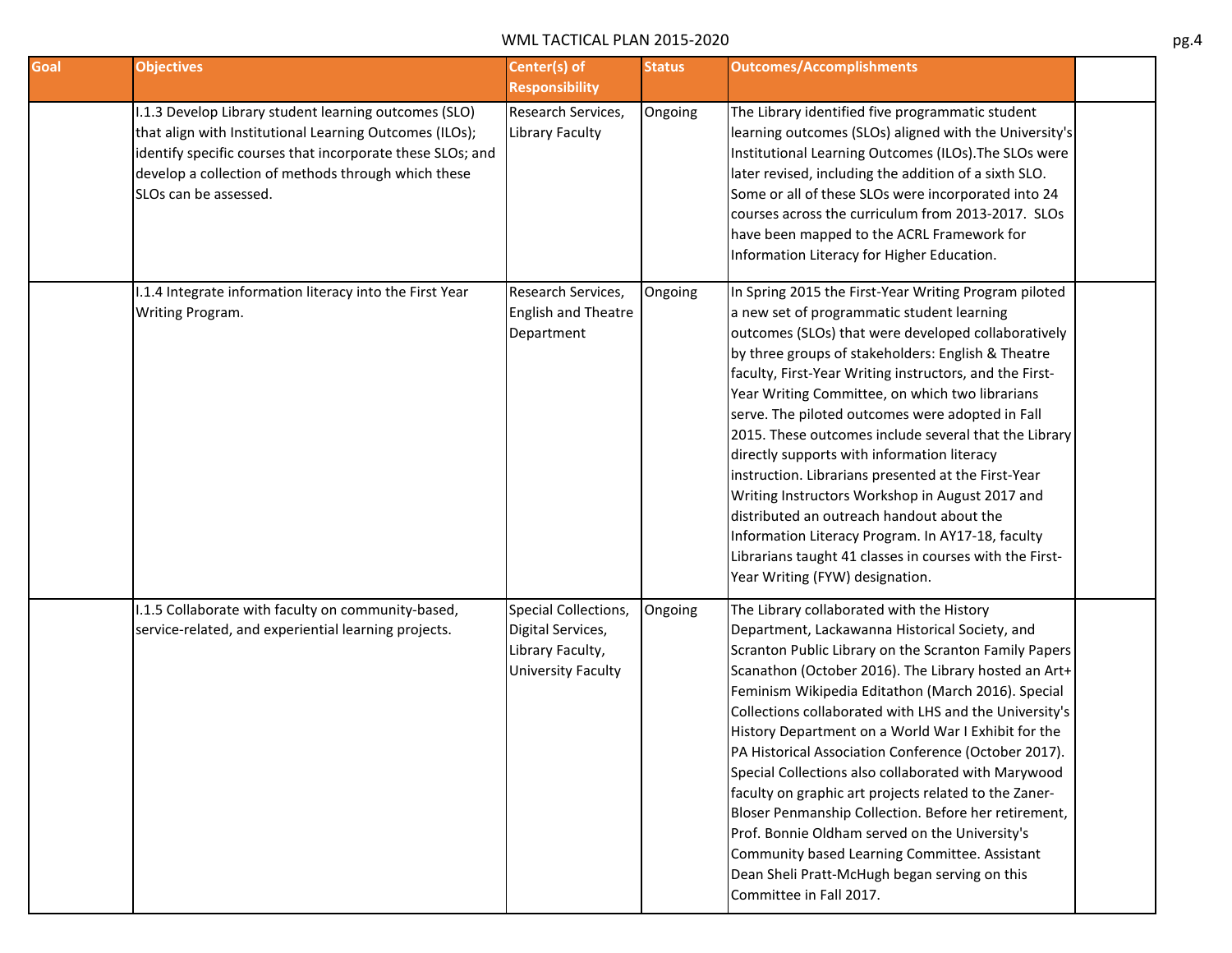| Goal | <b>Objectives</b>                                                                                                                                                                                                                                              | Center(s) of<br><b>Responsibility</b>                                                      | <b>Status</b> | <b>Outcomes/Accomplishments</b>                                                                                                                                                                                                                                                                                                                                                                                                                                                                                                                                                                                                                                                                                                                                                                      |
|------|----------------------------------------------------------------------------------------------------------------------------------------------------------------------------------------------------------------------------------------------------------------|--------------------------------------------------------------------------------------------|---------------|------------------------------------------------------------------------------------------------------------------------------------------------------------------------------------------------------------------------------------------------------------------------------------------------------------------------------------------------------------------------------------------------------------------------------------------------------------------------------------------------------------------------------------------------------------------------------------------------------------------------------------------------------------------------------------------------------------------------------------------------------------------------------------------------------|
|      | I.1.3 Develop Library student learning outcomes (SLO)<br>that align with Institutional Learning Outcomes (ILOs);<br>identify specific courses that incorporate these SLOs; and<br>develop a collection of methods through which these<br>SLOs can be assessed. | Research Services,<br><b>Library Faculty</b>                                               | Ongoing       | The Library identified five programmatic student<br>learning outcomes (SLOs) aligned with the University's<br>Institutional Learning Outcomes (ILOs). The SLOs were<br>later revised, including the addition of a sixth SLO.<br>Some or all of these SLOs were incorporated into 24<br>courses across the curriculum from 2013-2017. SLOs<br>have been mapped to the ACRL Framework for<br>Information Literacy for Higher Education.                                                                                                                                                                                                                                                                                                                                                                |
|      | I.1.4 Integrate information literacy into the First Year<br>Writing Program.                                                                                                                                                                                   | Research Services,<br><b>English and Theatre</b><br>Department                             | Ongoing       | In Spring 2015 the First-Year Writing Program piloted<br>a new set of programmatic student learning<br>outcomes (SLOs) that were developed collaboratively<br>by three groups of stakeholders: English & Theatre<br>faculty, First-Year Writing instructors, and the First-<br>Year Writing Committee, on which two librarians<br>serve. The piloted outcomes were adopted in Fall<br>2015. These outcomes include several that the Library<br>directly supports with information literacy<br>instruction. Librarians presented at the First-Year<br>Writing Instructors Workshop in August 2017 and<br>distributed an outreach handout about the<br>Information Literacy Program. In AY17-18, faculty<br>Librarians taught 41 classes in courses with the First-<br>Year Writing (FYW) designation. |
|      | I.1.5 Collaborate with faculty on community-based,<br>service-related, and experiential learning projects.                                                                                                                                                     | Special Collections,<br>Digital Services,<br>Library Faculty,<br><b>University Faculty</b> | Ongoing       | The Library collaborated with the History<br>Department, Lackawanna Historical Society, and<br>Scranton Public Library on the Scranton Family Papers<br>Scanathon (October 2016). The Library hosted an Art+<br>Feminism Wikipedia Editathon (March 2016). Special<br>Collections collaborated with LHS and the University's<br>History Department on a World War I Exhibit for the<br>PA Historical Association Conference (October 2017).<br>Special Collections also collaborated with Marywood<br>faculty on graphic art projects related to the Zaner-<br>Bloser Penmanship Collection. Before her retirement,<br>Prof. Bonnie Oldham served on the University's<br>Community based Learning Committee. Assistant<br>Dean Sheli Pratt-McHugh began serving on this<br>Committee in Fall 2017.   |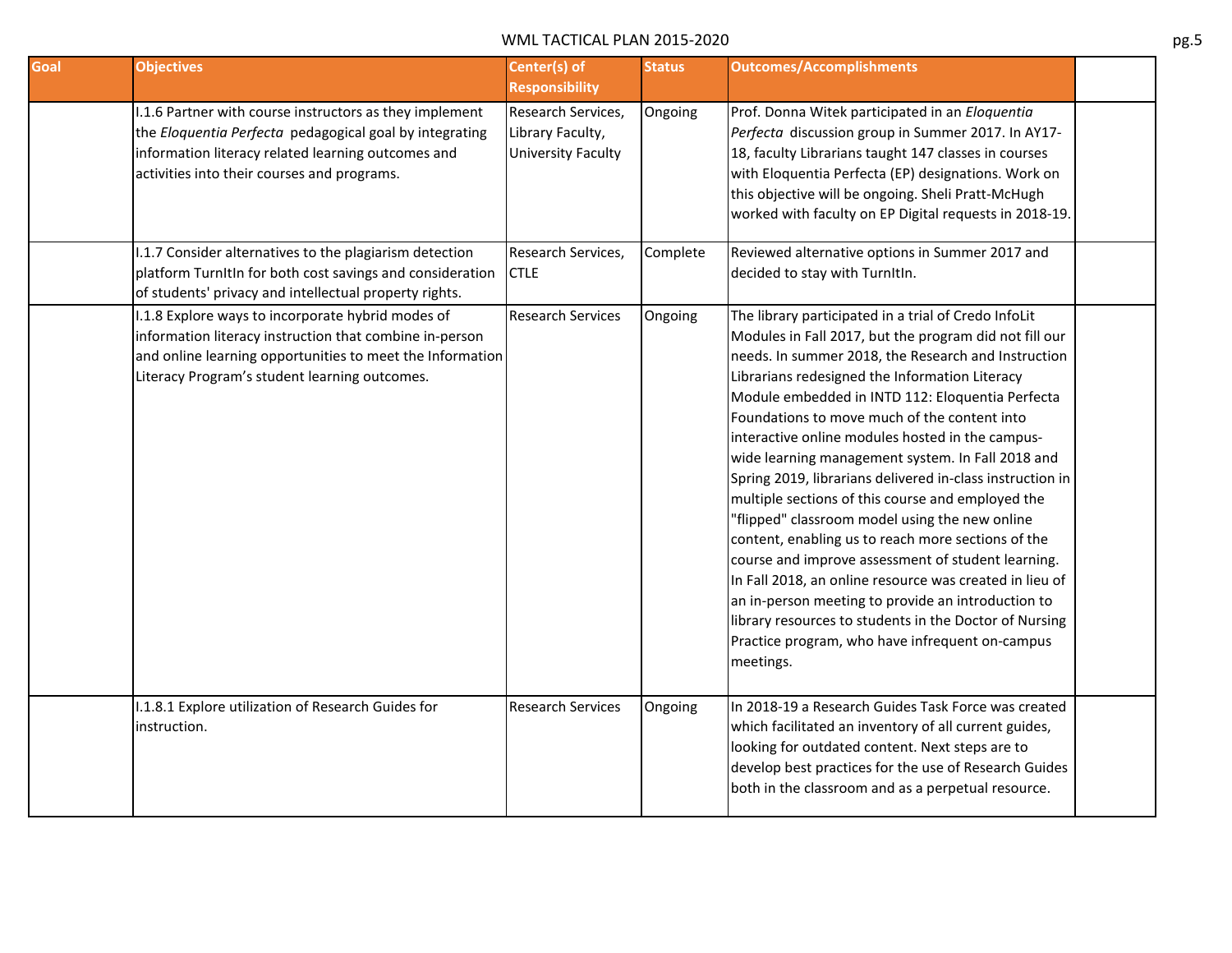| Goal | <b>Objectives</b>                                                                                                                                                                                                          | Center(s) of<br><b>Responsibility</b>                               | <b>Status</b> | <b>Outcomes/Accomplishments</b>                                                                                                                                                                                                                                                                                                                                                                                                                                                                                                                                                                                                                                                                                                                                                                                                                                                                                                                                 |  |
|------|----------------------------------------------------------------------------------------------------------------------------------------------------------------------------------------------------------------------------|---------------------------------------------------------------------|---------------|-----------------------------------------------------------------------------------------------------------------------------------------------------------------------------------------------------------------------------------------------------------------------------------------------------------------------------------------------------------------------------------------------------------------------------------------------------------------------------------------------------------------------------------------------------------------------------------------------------------------------------------------------------------------------------------------------------------------------------------------------------------------------------------------------------------------------------------------------------------------------------------------------------------------------------------------------------------------|--|
|      | I.1.6 Partner with course instructors as they implement<br>the Eloquentia Perfecta pedagogical goal by integrating<br>information literacy related learning outcomes and<br>activities into their courses and programs.    | Research Services,<br>Library Faculty,<br><b>University Faculty</b> | Ongoing       | Prof. Donna Witek participated in an Eloquentia<br>Perfecta discussion group in Summer 2017. In AY17-<br>18, faculty Librarians taught 147 classes in courses<br>with Eloquentia Perfecta (EP) designations. Work on<br>this objective will be ongoing. Sheli Pratt-McHugh<br>worked with faculty on EP Digital requests in 2018-19.                                                                                                                                                                                                                                                                                                                                                                                                                                                                                                                                                                                                                            |  |
|      | I.1.7 Consider alternatives to the plagiarism detection<br>platform TurnItIn for both cost savings and consideration<br>of students' privacy and intellectual property rights.                                             | Research Services,<br><b>CTLE</b>                                   | Complete      | Reviewed alternative options in Summer 2017 and<br>decided to stay with TurnItIn.                                                                                                                                                                                                                                                                                                                                                                                                                                                                                                                                                                                                                                                                                                                                                                                                                                                                               |  |
|      | I.1.8 Explore ways to incorporate hybrid modes of<br>information literacy instruction that combine in-person<br>and online learning opportunities to meet the Information<br>Literacy Program's student learning outcomes. | <b>Research Services</b>                                            | Ongoing       | The library participated in a trial of Credo InfoLit<br>Modules in Fall 2017, but the program did not fill our<br>needs. In summer 2018, the Research and Instruction<br>Librarians redesigned the Information Literacy<br>Module embedded in INTD 112: Eloquentia Perfecta<br>Foundations to move much of the content into<br>interactive online modules hosted in the campus-<br>wide learning management system. In Fall 2018 and<br>Spring 2019, librarians delivered in-class instruction in<br>multiple sections of this course and employed the<br>"flipped" classroom model using the new online<br>content, enabling us to reach more sections of the<br>course and improve assessment of student learning.<br>In Fall 2018, an online resource was created in lieu of<br>an in-person meeting to provide an introduction to<br>library resources to students in the Doctor of Nursing<br>Practice program, who have infrequent on-campus<br>meetings. |  |
|      | I.1.8.1 Explore utilization of Research Guides for<br>instruction.                                                                                                                                                         | <b>Research Services</b>                                            | Ongoing       | In 2018-19 a Research Guides Task Force was created<br>which facilitated an inventory of all current guides,<br>looking for outdated content. Next steps are to<br>develop best practices for the use of Research Guides<br>both in the classroom and as a perpetual resource.                                                                                                                                                                                                                                                                                                                                                                                                                                                                                                                                                                                                                                                                                  |  |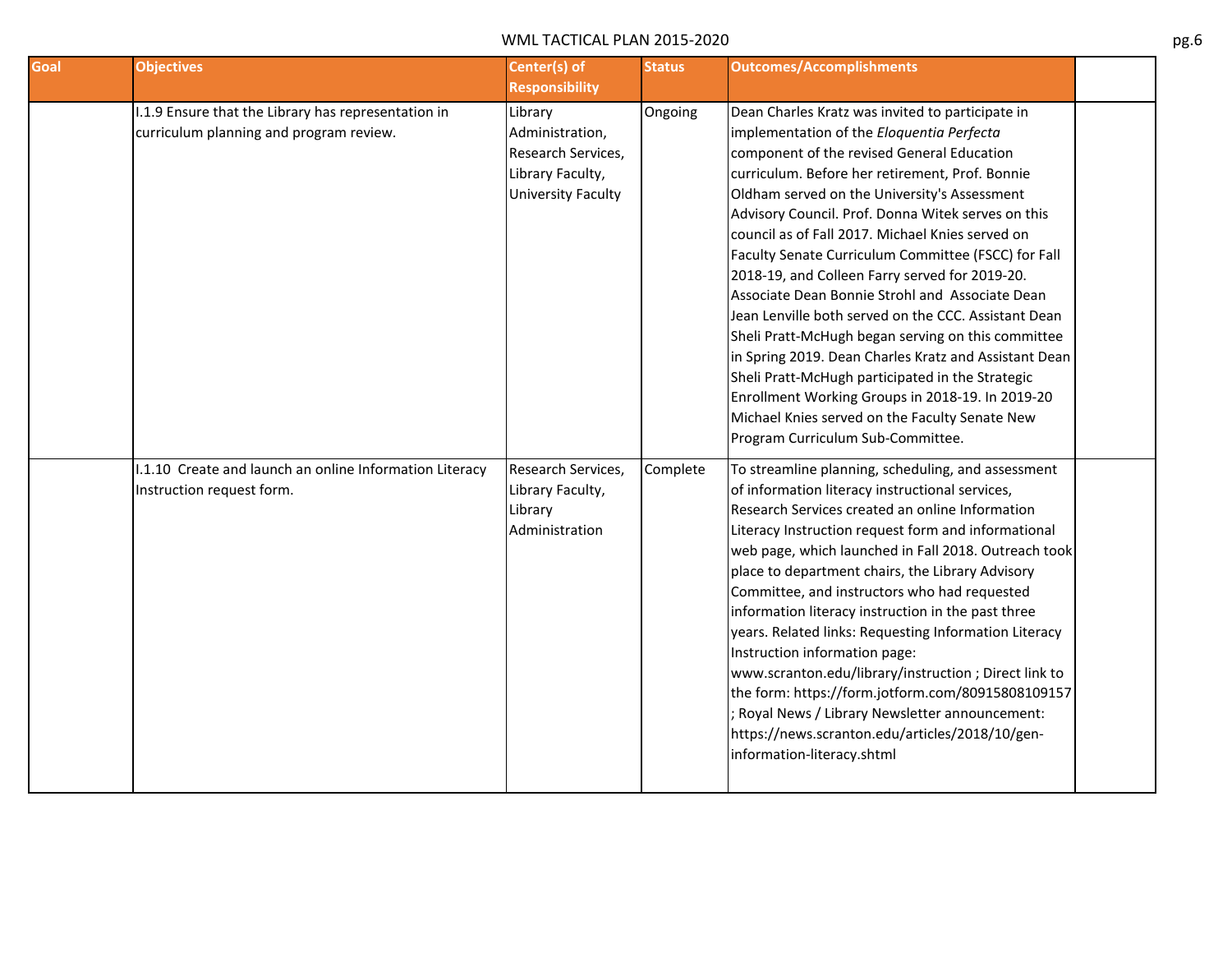| Goal | <b>Objectives</b>                                       | Center(s) of          | <b>Status</b> | <b>Outcomes/Accomplishments</b>                       |  |
|------|---------------------------------------------------------|-----------------------|---------------|-------------------------------------------------------|--|
|      |                                                         | <b>Responsibility</b> |               |                                                       |  |
|      | I.1.9 Ensure that the Library has representation in     | Library               | Ongoing       | Dean Charles Kratz was invited to participate in      |  |
|      | curriculum planning and program review.                 | Administration,       |               | implementation of the Eloquentia Perfecta             |  |
|      |                                                         | Research Services,    |               | component of the revised General Education            |  |
|      |                                                         | Library Faculty,      |               | curriculum. Before her retirement, Prof. Bonnie       |  |
|      |                                                         | University Faculty    |               | Oldham served on the University's Assessment          |  |
|      |                                                         |                       |               | Advisory Council. Prof. Donna Witek serves on this    |  |
|      |                                                         |                       |               | council as of Fall 2017. Michael Knies served on      |  |
|      |                                                         |                       |               | Faculty Senate Curriculum Committee (FSCC) for Fall   |  |
|      |                                                         |                       |               | 2018-19, and Colleen Farry served for 2019-20.        |  |
|      |                                                         |                       |               | Associate Dean Bonnie Strohl and Associate Dean       |  |
|      |                                                         |                       |               | Jean Lenville both served on the CCC. Assistant Dean  |  |
|      |                                                         |                       |               | Sheli Pratt-McHugh began serving on this committee    |  |
|      |                                                         |                       |               | in Spring 2019. Dean Charles Kratz and Assistant Dean |  |
|      |                                                         |                       |               | Sheli Pratt-McHugh participated in the Strategic      |  |
|      |                                                         |                       |               | Enrollment Working Groups in 2018-19. In 2019-20      |  |
|      |                                                         |                       |               | Michael Knies served on the Faculty Senate New        |  |
|      |                                                         |                       |               | Program Curriculum Sub-Committee.                     |  |
|      | I.1.10 Create and launch an online Information Literacy | Research Services,    | Complete      | To streamline planning, scheduling, and assessment    |  |
|      | Instruction request form.                               | Library Faculty,      |               | of information literacy instructional services,       |  |
|      |                                                         | Library               |               | Research Services created an online Information       |  |
|      |                                                         | Administration        |               | Literacy Instruction request form and informational   |  |
|      |                                                         |                       |               | web page, which launched in Fall 2018. Outreach took  |  |
|      |                                                         |                       |               | place to department chairs, the Library Advisory      |  |
|      |                                                         |                       |               | Committee, and instructors who had requested          |  |
|      |                                                         |                       |               | information literacy instruction in the past three    |  |
|      |                                                         |                       |               | years. Related links: Requesting Information Literacy |  |
|      |                                                         |                       |               | Instruction information page:                         |  |
|      |                                                         |                       |               | www.scranton.edu/library/instruction ; Direct link to |  |
|      |                                                         |                       |               | the form: https://form.jotform.com/80915808109157     |  |
|      |                                                         |                       |               | Royal News / Library Newsletter announcement:         |  |
|      |                                                         |                       |               | https://news.scranton.edu/articles/2018/10/gen-       |  |
|      |                                                         |                       |               | information-literacy.shtml                            |  |
|      |                                                         |                       |               |                                                       |  |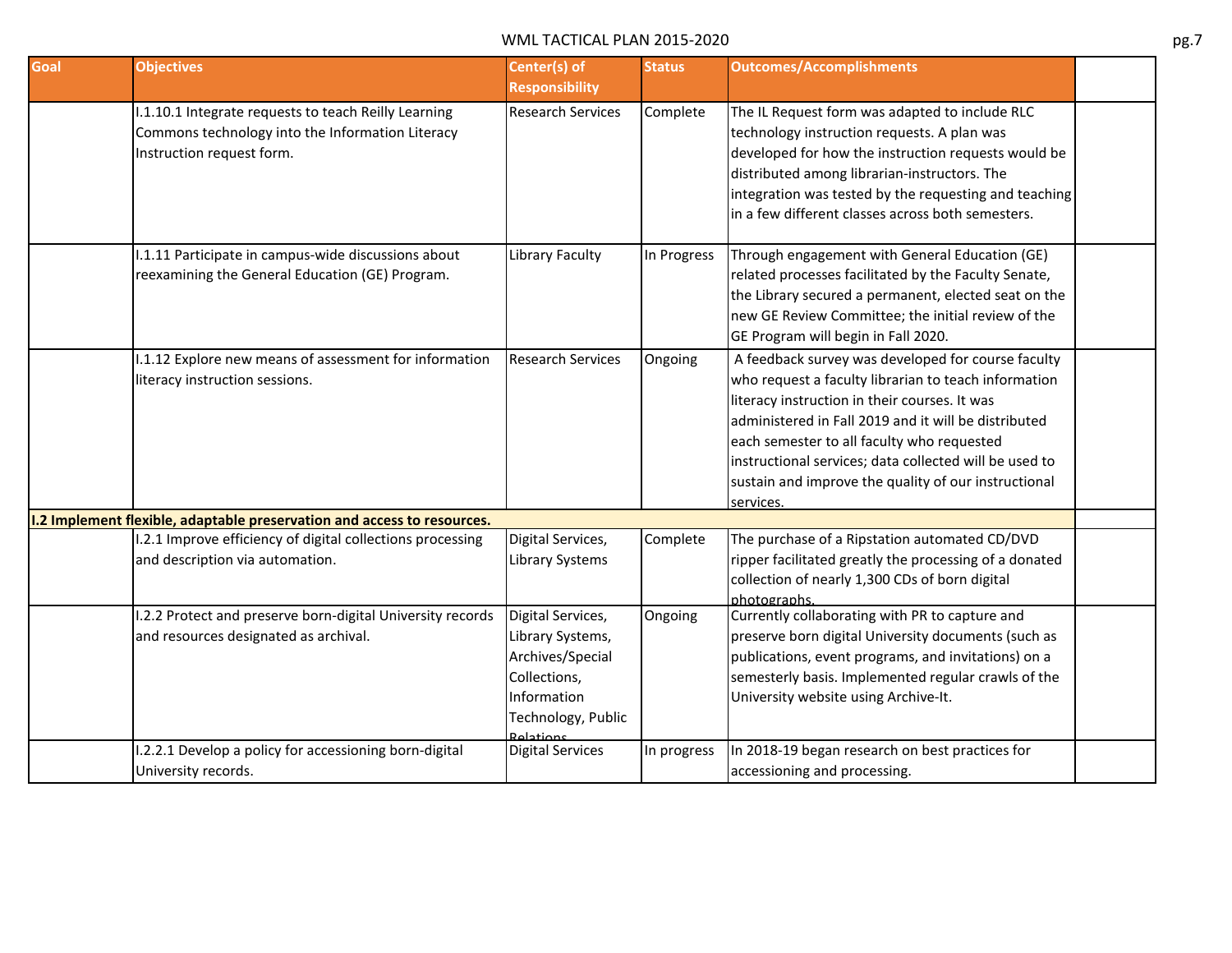| <b>Goal</b> | <b>Objectives</b>                                                                                                                     | Center(s) of<br><b>Responsibility</b>                                                                                       | <b>Status</b> | <b>Outcomes/Accomplishments</b>                                                                                                                                                                                                                                                                                                                                                                  |  |
|-------------|---------------------------------------------------------------------------------------------------------------------------------------|-----------------------------------------------------------------------------------------------------------------------------|---------------|--------------------------------------------------------------------------------------------------------------------------------------------------------------------------------------------------------------------------------------------------------------------------------------------------------------------------------------------------------------------------------------------------|--|
|             | I.1.10.1 Integrate requests to teach Reilly Learning<br>Commons technology into the Information Literacy<br>Instruction request form. | <b>Research Services</b>                                                                                                    | Complete      | The IL Request form was adapted to include RLC<br>technology instruction requests. A plan was<br>developed for how the instruction requests would be<br>distributed among librarian-instructors. The<br>integration was tested by the requesting and teaching<br>in a few different classes across both semesters.                                                                               |  |
|             | 1.1.11 Participate in campus-wide discussions about<br>reexamining the General Education (GE) Program.                                | Library Faculty                                                                                                             | In Progress   | Through engagement with General Education (GE)<br>related processes facilitated by the Faculty Senate,<br>the Library secured a permanent, elected seat on the<br>new GE Review Committee; the initial review of the<br>GE Program will begin in Fall 2020.                                                                                                                                      |  |
|             | 1.1.12 Explore new means of assessment for information<br>literacy instruction sessions.                                              | <b>Research Services</b>                                                                                                    | Ongoing       | A feedback survey was developed for course faculty<br>who request a faculty librarian to teach information<br>literacy instruction in their courses. It was<br>administered in Fall 2019 and it will be distributed<br>each semester to all faculty who requested<br>instructional services; data collected will be used to<br>sustain and improve the quality of our instructional<br>services. |  |
|             | I.2 Implement flexible, adaptable preservation and access to resources.                                                               |                                                                                                                             |               |                                                                                                                                                                                                                                                                                                                                                                                                  |  |
|             | 1.2.1 Improve efficiency of digital collections processing<br>and description via automation.                                         | Digital Services,<br><b>Library Systems</b>                                                                                 | Complete      | The purchase of a Ripstation automated CD/DVD<br>ripper facilitated greatly the processing of a donated<br>collection of nearly 1,300 CDs of born digital<br>photographs.                                                                                                                                                                                                                        |  |
|             | 1.2.2 Protect and preserve born-digital University records<br>and resources designated as archival.                                   | Digital Services,<br>Library Systems,<br>Archives/Special<br>Collections,<br>Information<br>Technology, Public<br>Polations | Ongoing       | Currently collaborating with PR to capture and<br>preserve born digital University documents (such as<br>publications, event programs, and invitations) on a<br>semesterly basis. Implemented regular crawls of the<br>University website using Archive-It.                                                                                                                                      |  |
|             | I.2.2.1 Develop a policy for accessioning born-digital<br>University records.                                                         | <b>Digital Services</b>                                                                                                     | In progress   | In 2018-19 began research on best practices for<br>accessioning and processing.                                                                                                                                                                                                                                                                                                                  |  |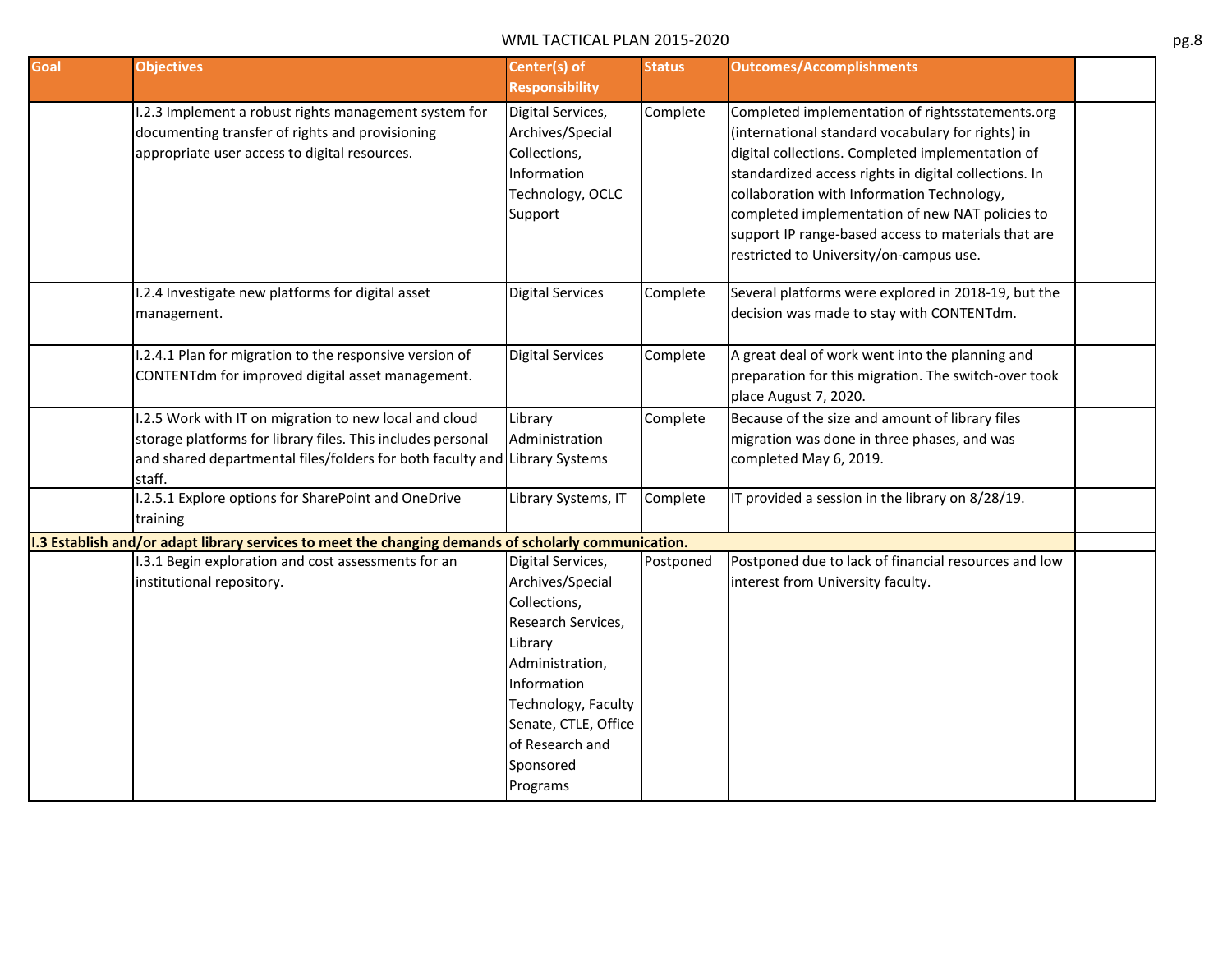| Goal | <b>Objectives</b>                                                                                                                                                                                             | Center(s) of<br><b>Responsibility</b>                                                                                                                                                                               | <b>Status</b> | <b>Outcomes/Accomplishments</b>                                                                                                                                                                                                                                                                                                                                                                                       |  |
|------|---------------------------------------------------------------------------------------------------------------------------------------------------------------------------------------------------------------|---------------------------------------------------------------------------------------------------------------------------------------------------------------------------------------------------------------------|---------------|-----------------------------------------------------------------------------------------------------------------------------------------------------------------------------------------------------------------------------------------------------------------------------------------------------------------------------------------------------------------------------------------------------------------------|--|
|      | I.2.3 Implement a robust rights management system for<br>documenting transfer of rights and provisioning<br>appropriate user access to digital resources.                                                     | Digital Services,<br>Archives/Special<br>Collections,<br>Information<br>Technology, OCLC<br>Support                                                                                                                 | Complete      | Completed implementation of rightsstatements.org<br>(international standard vocabulary for rights) in<br>digital collections. Completed implementation of<br>standardized access rights in digital collections. In<br>collaboration with Information Technology,<br>completed implementation of new NAT policies to<br>support IP range-based access to materials that are<br>restricted to University/on-campus use. |  |
|      | I.2.4 Investigate new platforms for digital asset<br>management.                                                                                                                                              | <b>Digital Services</b>                                                                                                                                                                                             | Complete      | Several platforms were explored in 2018-19, but the<br>decision was made to stay with CONTENTdm.                                                                                                                                                                                                                                                                                                                      |  |
|      | I.2.4.1 Plan for migration to the responsive version of<br>CONTENTdm for improved digital asset management.                                                                                                   | <b>Digital Services</b>                                                                                                                                                                                             | Complete      | A great deal of work went into the planning and<br>preparation for this migration. The switch-over took<br>place August 7, 2020.                                                                                                                                                                                                                                                                                      |  |
|      | I.2.5 Work with IT on migration to new local and cloud<br>storage platforms for library files. This includes personal<br>and shared departmental files/folders for both faculty and Library Systems<br>staff. | Library<br>Administration                                                                                                                                                                                           | Complete      | Because of the size and amount of library files<br>migration was done in three phases, and was<br>completed May 6, 2019.                                                                                                                                                                                                                                                                                              |  |
|      | I.2.5.1 Explore options for SharePoint and OneDrive<br>training                                                                                                                                               | Library Systems, IT                                                                                                                                                                                                 | Complete      | IT provided a session in the library on 8/28/19.                                                                                                                                                                                                                                                                                                                                                                      |  |
|      | I.3 Establish and/or adapt library services to meet the changing demands of scholarly communication.                                                                                                          |                                                                                                                                                                                                                     |               |                                                                                                                                                                                                                                                                                                                                                                                                                       |  |
|      | I.3.1 Begin exploration and cost assessments for an<br>institutional repository.                                                                                                                              | Digital Services,<br>Archives/Special<br>Collections,<br>Research Services,<br>Library<br>Administration,<br>Information<br>Technology, Faculty<br>Senate, CTLE, Office<br>of Research and<br>Sponsored<br>Programs | Postponed     | Postponed due to lack of financial resources and low<br>interest from University faculty.                                                                                                                                                                                                                                                                                                                             |  |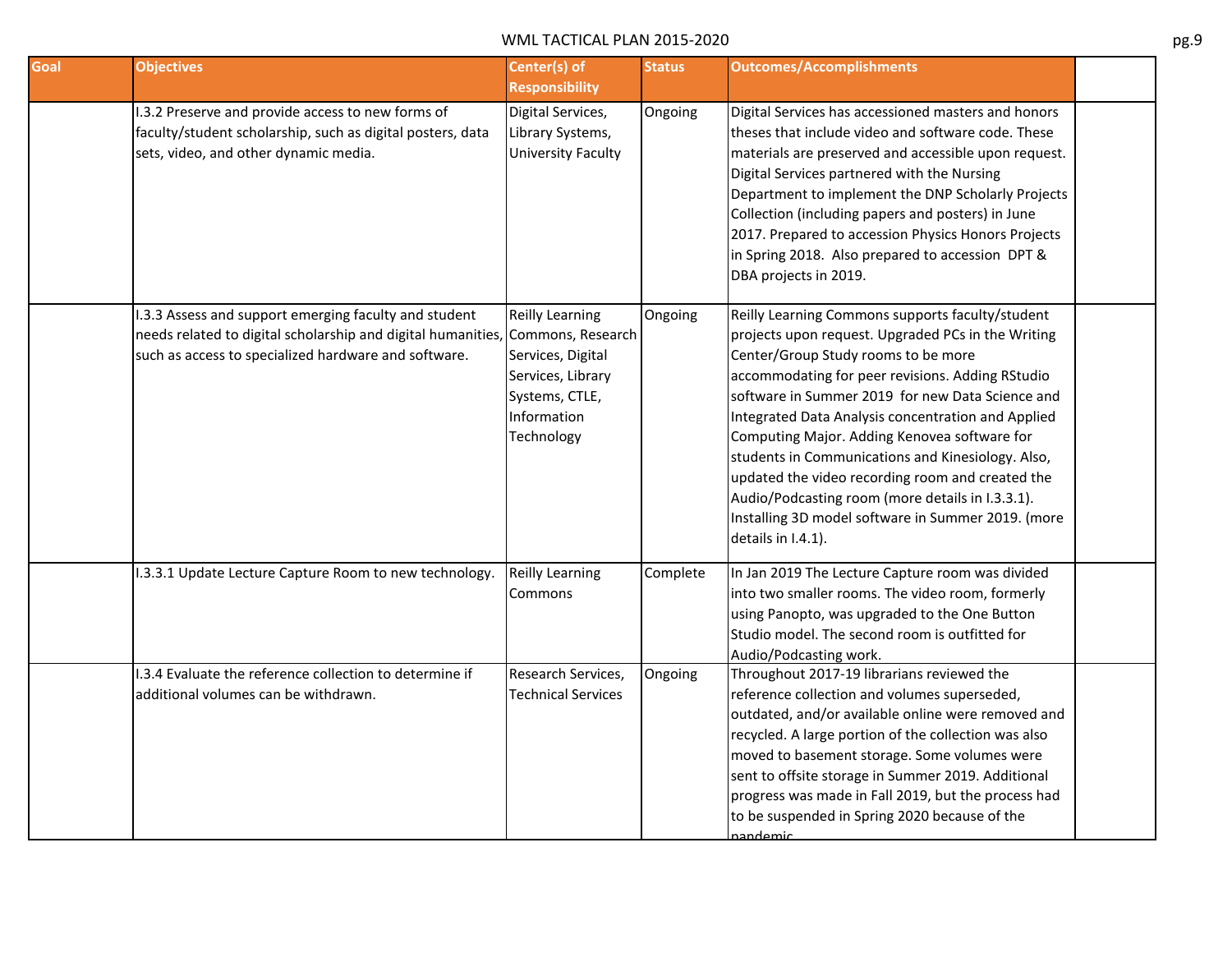| Goal | <b>Objectives</b>                                                                                                                                                             | Center(s) of<br><b>Responsibility</b>                                                                                                | <b>Status</b> | <b>Outcomes/Accomplishments</b>                                                                                                                                                                                                                                                                                                                                                                                                                                                                                                                                                                      |  |
|------|-------------------------------------------------------------------------------------------------------------------------------------------------------------------------------|--------------------------------------------------------------------------------------------------------------------------------------|---------------|------------------------------------------------------------------------------------------------------------------------------------------------------------------------------------------------------------------------------------------------------------------------------------------------------------------------------------------------------------------------------------------------------------------------------------------------------------------------------------------------------------------------------------------------------------------------------------------------------|--|
|      | I.3.2 Preserve and provide access to new forms of<br>faculty/student scholarship, such as digital posters, data<br>sets, video, and other dynamic media.                      | Digital Services,<br>Library Systems,<br><b>University Faculty</b>                                                                   | Ongoing       | Digital Services has accessioned masters and honors<br>theses that include video and software code. These<br>materials are preserved and accessible upon request.<br>Digital Services partnered with the Nursing<br>Department to implement the DNP Scholarly Projects<br>Collection (including papers and posters) in June<br>2017. Prepared to accession Physics Honors Projects<br>in Spring 2018. Also prepared to accession DPT &<br>DBA projects in 2019.                                                                                                                                      |  |
|      | 1.3.3 Assess and support emerging faculty and student<br>needs related to digital scholarship and digital humanities,<br>such as access to specialized hardware and software. | <b>Reilly Learning</b><br>Commons, Research<br>Services, Digital<br>Services, Library<br>Systems, CTLE,<br>Information<br>Technology | Ongoing       | Reilly Learning Commons supports faculty/student<br>projects upon request. Upgraded PCs in the Writing<br>Center/Group Study rooms to be more<br>accommodating for peer revisions. Adding RStudio<br>software in Summer 2019 for new Data Science and<br>Integrated Data Analysis concentration and Applied<br>Computing Major. Adding Kenovea software for<br>students in Communications and Kinesiology. Also,<br>updated the video recording room and created the<br>Audio/Podcasting room (more details in I.3.3.1).<br>Installing 3D model software in Summer 2019. (more<br>details in I.4.1). |  |
|      | I.3.3.1 Update Lecture Capture Room to new technology.                                                                                                                        | <b>Reilly Learning</b><br>Commons                                                                                                    | Complete      | In Jan 2019 The Lecture Capture room was divided<br>into two smaller rooms. The video room, formerly<br>using Panopto, was upgraded to the One Button<br>Studio model. The second room is outfitted for<br>Audio/Podcasting work.                                                                                                                                                                                                                                                                                                                                                                    |  |
|      | I.3.4 Evaluate the reference collection to determine if<br>additional volumes can be withdrawn.                                                                               | Research Services,<br><b>Technical Services</b>                                                                                      | Ongoing       | Throughout 2017-19 librarians reviewed the<br>reference collection and volumes superseded,<br>outdated, and/or available online were removed and<br>recycled. A large portion of the collection was also<br>moved to basement storage. Some volumes were<br>sent to offsite storage in Summer 2019. Additional<br>progress was made in Fall 2019, but the process had<br>to be suspended in Spring 2020 because of the<br>andemic                                                                                                                                                                    |  |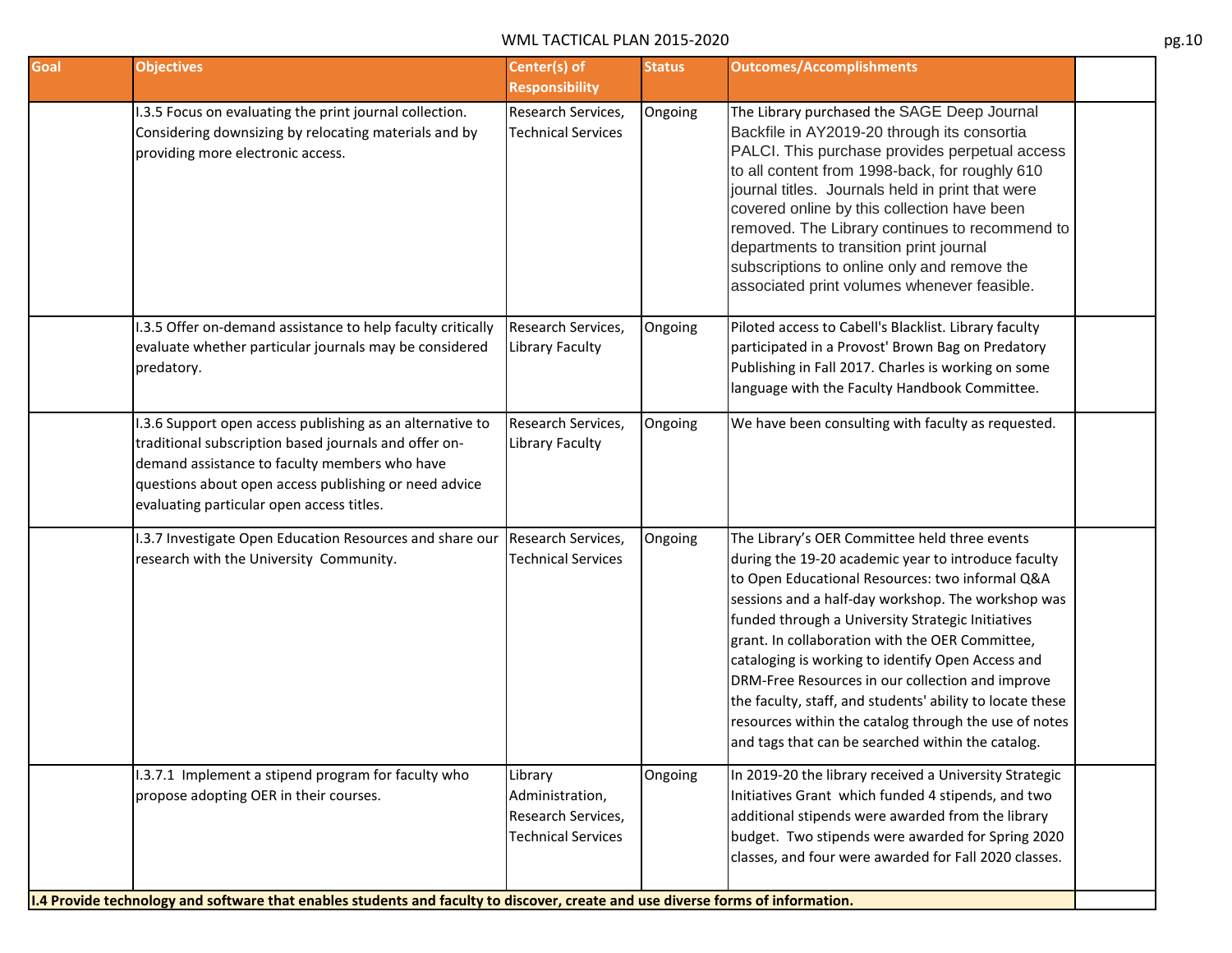| Goal | <b>Objectives</b>                                                                                                                                                                                                                                                         | Center(s) of<br><b>Responsibility</b>                                         | <b>Status</b> | <b>Outcomes/Accomplishments</b>                                                                                                                                                                                                                                                                                                                                                                                                                                                                                                                                                                           |  |
|------|---------------------------------------------------------------------------------------------------------------------------------------------------------------------------------------------------------------------------------------------------------------------------|-------------------------------------------------------------------------------|---------------|-----------------------------------------------------------------------------------------------------------------------------------------------------------------------------------------------------------------------------------------------------------------------------------------------------------------------------------------------------------------------------------------------------------------------------------------------------------------------------------------------------------------------------------------------------------------------------------------------------------|--|
|      | I.3.5 Focus on evaluating the print journal collection.<br>Considering downsizing by relocating materials and by<br>providing more electronic access.                                                                                                                     | Research Services,<br><b>Technical Services</b>                               | Ongoing       | The Library purchased the SAGE Deep Journal<br>Backfile in AY2019-20 through its consortia<br>PALCI. This purchase provides perpetual access<br>to all content from 1998-back, for roughly 610<br>journal titles. Journals held in print that were<br>covered online by this collection have been<br>removed. The Library continues to recommend to<br>departments to transition print journal<br>subscriptions to online only and remove the<br>associated print volumes whenever feasible.                                                                                                              |  |
|      | I.3.5 Offer on-demand assistance to help faculty critically<br>evaluate whether particular journals may be considered<br>predatory.                                                                                                                                       | Research Services,<br>Library Faculty                                         | Ongoing       | Piloted access to Cabell's Blacklist. Library faculty<br>participated in a Provost' Brown Bag on Predatory<br>Publishing in Fall 2017. Charles is working on some<br>language with the Faculty Handbook Committee.                                                                                                                                                                                                                                                                                                                                                                                        |  |
|      | I.3.6 Support open access publishing as an alternative to<br>traditional subscription based journals and offer on-<br>demand assistance to faculty members who have<br>questions about open access publishing or need advice<br>evaluating particular open access titles. | Research Services,<br>Library Faculty                                         | Ongoing       | We have been consulting with faculty as requested.                                                                                                                                                                                                                                                                                                                                                                                                                                                                                                                                                        |  |
|      | .3.7 Investigate Open Education Resources and share our<br>research with the University Community.                                                                                                                                                                        | Research Services,<br><b>Technical Services</b>                               | Ongoing       | The Library's OER Committee held three events<br>during the 19-20 academic year to introduce faculty<br>to Open Educational Resources: two informal Q&A<br>sessions and a half-day workshop. The workshop was<br>funded through a University Strategic Initiatives<br>grant. In collaboration with the OER Committee,<br>cataloging is working to identify Open Access and<br>DRM-Free Resources in our collection and improve<br>the faculty, staff, and students' ability to locate these<br>resources within the catalog through the use of notes<br>and tags that can be searched within the catalog. |  |
|      | 1.3.7.1 Implement a stipend program for faculty who<br>propose adopting OER in their courses.<br>1.4 Provide technology and software that enables students and faculty to discover, create and use diverse forms of information.                                          | Library<br>Administration,<br>Research Services,<br><b>Technical Services</b> | Ongoing       | In 2019-20 the library received a University Strategic<br>Initiatives Grant which funded 4 stipends, and two<br>additional stipends were awarded from the library<br>budget. Two stipends were awarded for Spring 2020<br>classes, and four were awarded for Fall 2020 classes.                                                                                                                                                                                                                                                                                                                           |  |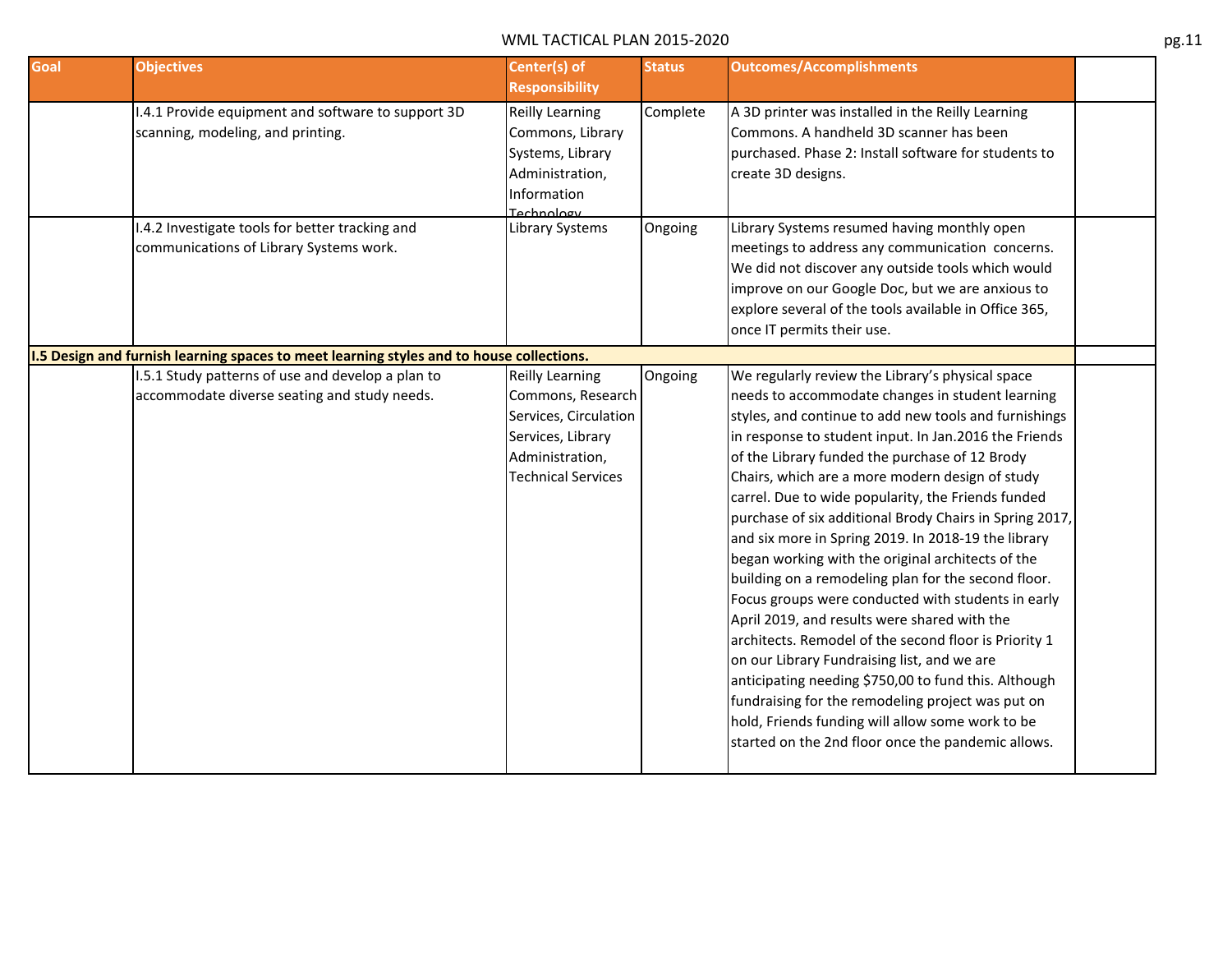| Goal | <b>Objectives</b>                                                                                 | Center(s) of<br><b>Responsibility</b>                                                                                                     | <b>Status</b> | <b>Outcomes/Accomplishments</b>                                                                                                                                                                                                                                                                                                                                                                                                                                                                                                                                                                                                                                                                                                                                                                                                                                                                                                                                                                                                                      |
|------|---------------------------------------------------------------------------------------------------|-------------------------------------------------------------------------------------------------------------------------------------------|---------------|------------------------------------------------------------------------------------------------------------------------------------------------------------------------------------------------------------------------------------------------------------------------------------------------------------------------------------------------------------------------------------------------------------------------------------------------------------------------------------------------------------------------------------------------------------------------------------------------------------------------------------------------------------------------------------------------------------------------------------------------------------------------------------------------------------------------------------------------------------------------------------------------------------------------------------------------------------------------------------------------------------------------------------------------------|
|      | I.4.1 Provide equipment and software to support 3D<br>scanning, modeling, and printing.           | Reilly Learning<br>Commons, Library<br>Systems, Library<br>Administration,<br>Information<br>Technology                                   | Complete      | A 3D printer was installed in the Reilly Learning<br>Commons. A handheld 3D scanner has been<br>purchased. Phase 2: Install software for students to<br>create 3D designs.                                                                                                                                                                                                                                                                                                                                                                                                                                                                                                                                                                                                                                                                                                                                                                                                                                                                           |
|      | I.4.2 Investigate tools for better tracking and<br>communications of Library Systems work.        | Library Systems                                                                                                                           | Ongoing       | Library Systems resumed having monthly open<br>meetings to address any communication concerns.<br>We did not discover any outside tools which would<br>improve on our Google Doc, but we are anxious to<br>explore several of the tools available in Office 365,<br>once IT permits their use.                                                                                                                                                                                                                                                                                                                                                                                                                                                                                                                                                                                                                                                                                                                                                       |
|      | 1.5 Design and furnish learning spaces to meet learning styles and to house collections.          |                                                                                                                                           |               |                                                                                                                                                                                                                                                                                                                                                                                                                                                                                                                                                                                                                                                                                                                                                                                                                                                                                                                                                                                                                                                      |
|      | 1.5.1 Study patterns of use and develop a plan to<br>accommodate diverse seating and study needs. | <b>Reilly Learning</b><br>Commons, Research<br>Services, Circulation<br>Services, Library<br>Administration,<br><b>Technical Services</b> | Ongoing       | We regularly review the Library's physical space<br>needs to accommodate changes in student learning<br>styles, and continue to add new tools and furnishings<br>in response to student input. In Jan.2016 the Friends<br>of the Library funded the purchase of 12 Brody<br>Chairs, which are a more modern design of study<br>carrel. Due to wide popularity, the Friends funded<br>purchase of six additional Brody Chairs in Spring 2017,<br>and six more in Spring 2019. In 2018-19 the library<br>began working with the original architects of the<br>building on a remodeling plan for the second floor.<br>Focus groups were conducted with students in early<br>April 2019, and results were shared with the<br>architects. Remodel of the second floor is Priority 1<br>on our Library Fundraising list, and we are<br>anticipating needing \$750,00 to fund this. Although<br>fundraising for the remodeling project was put on<br>hold, Friends funding will allow some work to be<br>started on the 2nd floor once the pandemic allows. |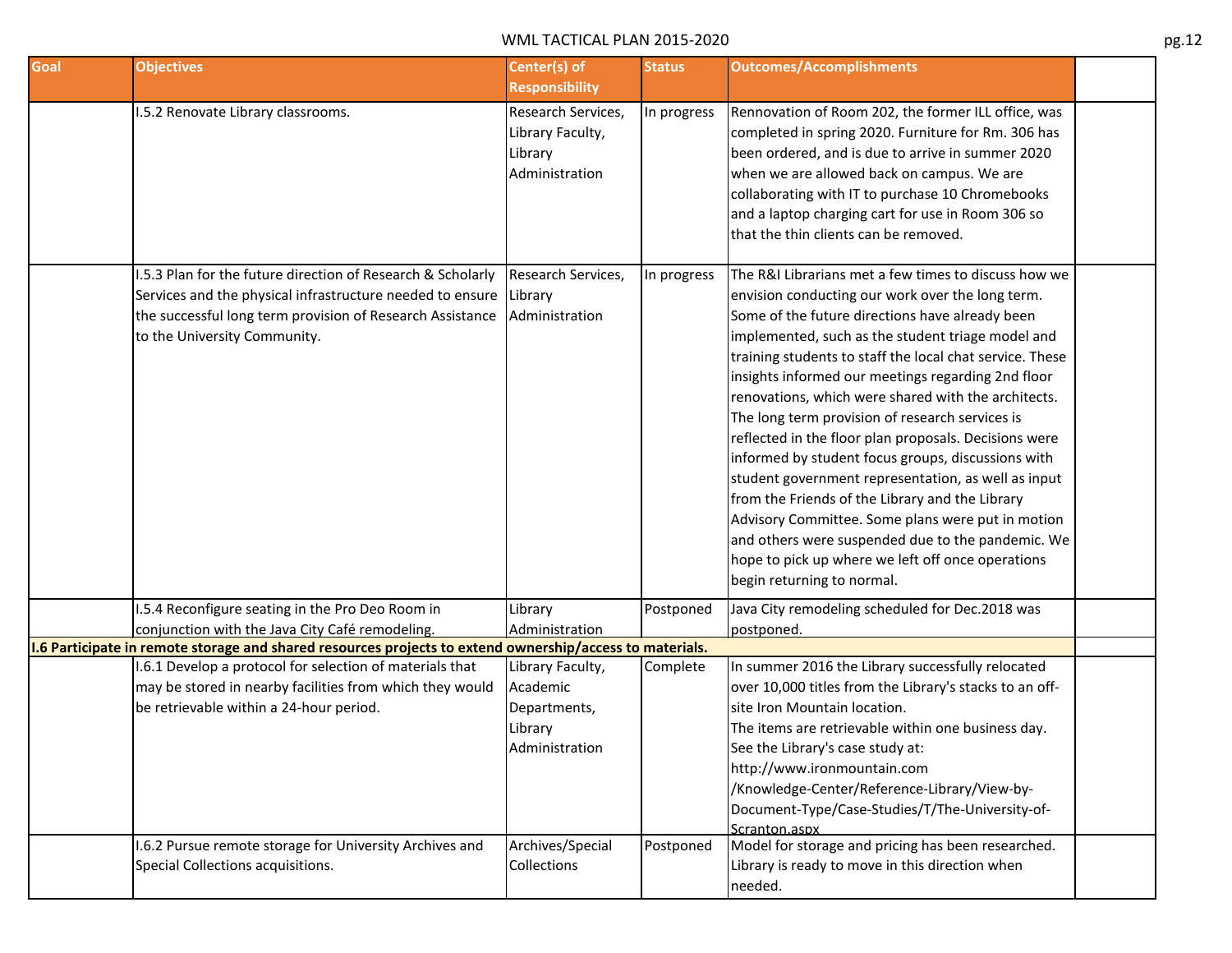| Goal | <b>Objectives</b>                                                                                                                                                                                                                                                           | Center(s) of<br><b>Responsibility</b>                                     | <b>Status</b> | <b>Outcomes/Accomplishments</b>                                                                                                                                                                                                                                                                                                                                                                                                                                                                                                                                                                                                                                                                                                                                                                                                                                    |  |
|------|-----------------------------------------------------------------------------------------------------------------------------------------------------------------------------------------------------------------------------------------------------------------------------|---------------------------------------------------------------------------|---------------|--------------------------------------------------------------------------------------------------------------------------------------------------------------------------------------------------------------------------------------------------------------------------------------------------------------------------------------------------------------------------------------------------------------------------------------------------------------------------------------------------------------------------------------------------------------------------------------------------------------------------------------------------------------------------------------------------------------------------------------------------------------------------------------------------------------------------------------------------------------------|--|
|      | I.5.2 Renovate Library classrooms.                                                                                                                                                                                                                                          | Research Services,<br>Library Faculty,<br>Library<br>Administration       | In progress   | Rennovation of Room 202, the former ILL office, was<br>completed in spring 2020. Furniture for Rm. 306 has<br>been ordered, and is due to arrive in summer 2020<br>when we are allowed back on campus. We are<br>collaborating with IT to purchase 10 Chromebooks<br>and a laptop charging cart for use in Room 306 so<br>that the thin clients can be removed.                                                                                                                                                                                                                                                                                                                                                                                                                                                                                                    |  |
|      | 1.5.3 Plan for the future direction of Research & Scholarly<br>Services and the physical infrastructure needed to ensure<br>the successful long term provision of Research Assistance<br>to the University Community.                                                       | Research Services,<br>Library<br>Administration                           | In progress   | The R&I Librarians met a few times to discuss how we<br>envision conducting our work over the long term.<br>Some of the future directions have already been<br>implemented, such as the student triage model and<br>training students to staff the local chat service. These<br>insights informed our meetings regarding 2nd floor<br>renovations, which were shared with the architects.<br>The long term provision of research services is<br>reflected in the floor plan proposals. Decisions were<br>informed by student focus groups, discussions with<br>student government representation, as well as input<br>from the Friends of the Library and the Library<br>Advisory Committee. Some plans were put in motion<br>and others were suspended due to the pandemic. We<br>hope to pick up where we left off once operations<br>begin returning to normal. |  |
|      | .5.4 Reconfigure seating in the Pro Deo Room in                                                                                                                                                                                                                             | Library                                                                   | Postponed     | Java City remodeling scheduled for Dec.2018 was                                                                                                                                                                                                                                                                                                                                                                                                                                                                                                                                                                                                                                                                                                                                                                                                                    |  |
|      | conjunction with the Java City Café remodeling.                                                                                                                                                                                                                             | Administration                                                            |               | postponed.                                                                                                                                                                                                                                                                                                                                                                                                                                                                                                                                                                                                                                                                                                                                                                                                                                                         |  |
|      | 1.6 Participate in remote storage and shared resources projects to extend ownership/access to materials.<br>I.6.1 Develop a protocol for selection of materials that<br>may be stored in nearby facilities from which they would<br>be retrievable within a 24-hour period. | Library Faculty,<br>Academic<br>Departments,<br>Library<br>Administration | Complete      | In summer 2016 the Library successfully relocated<br>over 10,000 titles from the Library's stacks to an off-<br>site Iron Mountain location.<br>The items are retrievable within one business day.<br>See the Library's case study at:<br>http://www.ironmountain.com<br>/Knowledge-Center/Reference-Library/View-by-<br>Document-Type/Case-Studies/T/The-University-of-<br>Scranton.aspx                                                                                                                                                                                                                                                                                                                                                                                                                                                                          |  |
|      | I.6.2 Pursue remote storage for University Archives and<br>Special Collections acquisitions.                                                                                                                                                                                | Archives/Special<br>Collections                                           | Postponed     | Model for storage and pricing has been researched.<br>Library is ready to move in this direction when<br>needed.                                                                                                                                                                                                                                                                                                                                                                                                                                                                                                                                                                                                                                                                                                                                                   |  |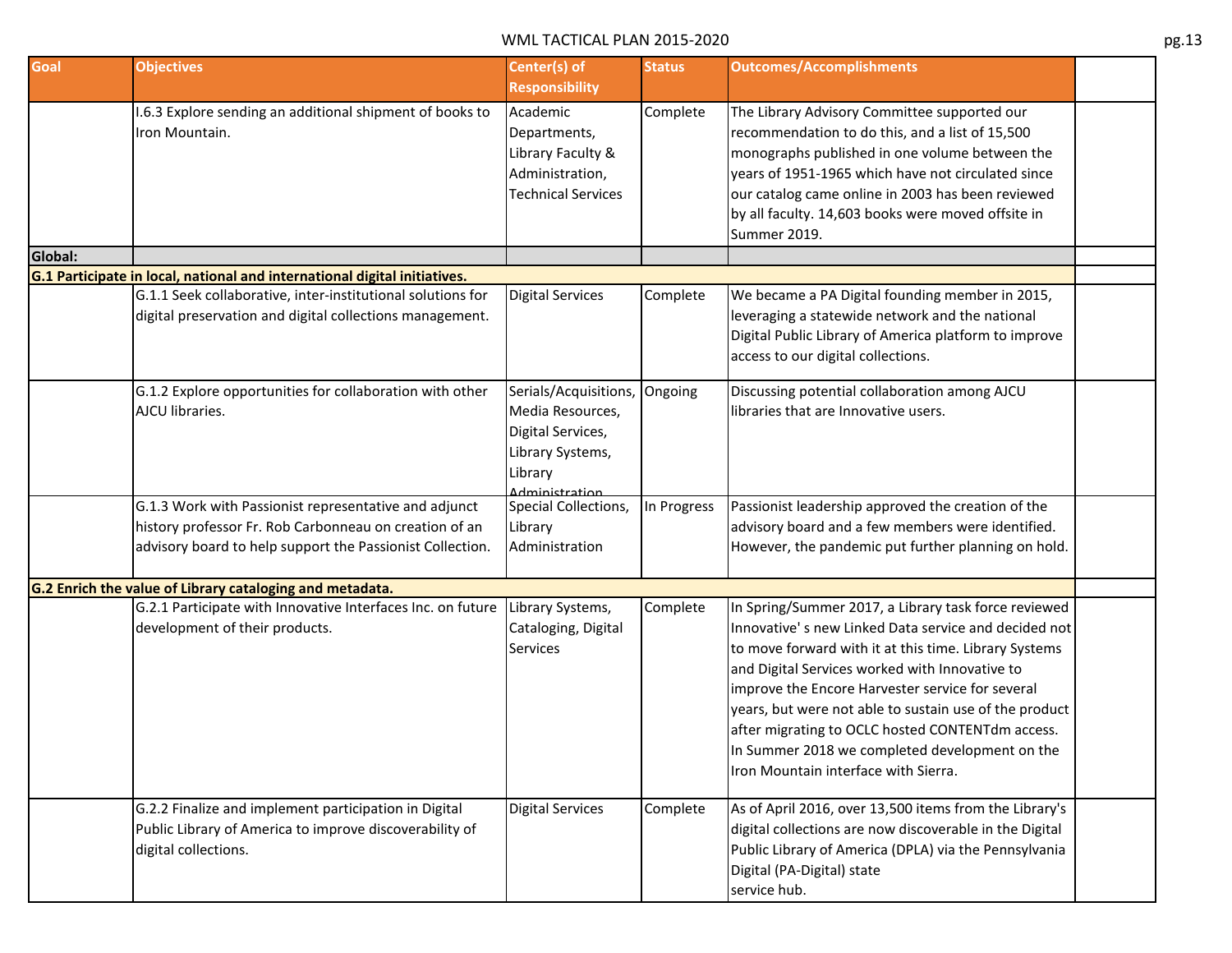| Goal    | <b>Objectives</b>                                                         | Center(s) of              | <b>Status</b> | <b>Outcomes/Accomplishments</b>                         |  |
|---------|---------------------------------------------------------------------------|---------------------------|---------------|---------------------------------------------------------|--|
|         |                                                                           | <b>Responsibility</b>     |               |                                                         |  |
|         | I.6.3 Explore sending an additional shipment of books to                  | Academic                  | Complete      | The Library Advisory Committee supported our            |  |
|         | Iron Mountain.                                                            | Departments,              |               | recommendation to do this, and a list of 15,500         |  |
|         |                                                                           | Library Faculty &         |               | monographs published in one volume between the          |  |
|         |                                                                           | Administration,           |               | years of 1951-1965 which have not circulated since      |  |
|         |                                                                           | <b>Technical Services</b> |               | our catalog came online in 2003 has been reviewed       |  |
|         |                                                                           |                           |               | by all faculty. 14,603 books were moved offsite in      |  |
|         |                                                                           |                           |               | Summer 2019.                                            |  |
| Global: |                                                                           |                           |               |                                                         |  |
|         | G.1 Participate in local, national and international digital initiatives. |                           |               |                                                         |  |
|         | G.1.1 Seek collaborative, inter-institutional solutions for               | <b>Digital Services</b>   | Complete      | We became a PA Digital founding member in 2015,         |  |
|         | digital preservation and digital collections management.                  |                           |               | leveraging a statewide network and the national         |  |
|         |                                                                           |                           |               | Digital Public Library of America platform to improve   |  |
|         |                                                                           |                           |               | access to our digital collections.                      |  |
|         | G.1.2 Explore opportunities for collaboration with other                  | Serials/Acquisitions,     | Ongoing       | Discussing potential collaboration among AJCU           |  |
|         | AJCU libraries.                                                           | Media Resources,          |               | libraries that are Innovative users.                    |  |
|         |                                                                           | Digital Services,         |               |                                                         |  |
|         |                                                                           | Library Systems,          |               |                                                         |  |
|         |                                                                           | Library                   |               |                                                         |  |
|         |                                                                           | <b>Administration</b>     |               |                                                         |  |
|         | G.1.3 Work with Passionist representative and adjunct                     | Special Collections,      | In Progress   | Passionist leadership approved the creation of the      |  |
|         | history professor Fr. Rob Carbonneau on creation of an                    | Library                   |               | advisory board and a few members were identified.       |  |
|         | advisory board to help support the Passionist Collection.                 | Administration            |               | However, the pandemic put further planning on hold.     |  |
|         | G.2 Enrich the value of Library cataloging and metadata.                  |                           |               |                                                         |  |
|         | G.2.1 Participate with Innovative Interfaces Inc. on future               | Library Systems,          | Complete      | In Spring/Summer 2017, a Library task force reviewed    |  |
|         | development of their products.                                            | Cataloging, Digital       |               | Innovative's new Linked Data service and decided not    |  |
|         |                                                                           | Services                  |               | to move forward with it at this time. Library Systems   |  |
|         |                                                                           |                           |               | and Digital Services worked with Innovative to          |  |
|         |                                                                           |                           |               | improve the Encore Harvester service for several        |  |
|         |                                                                           |                           |               | years, but were not able to sustain use of the product  |  |
|         |                                                                           |                           |               | after migrating to OCLC hosted CONTENTdm access.        |  |
|         |                                                                           |                           |               |                                                         |  |
|         |                                                                           |                           |               | In Summer 2018 we completed development on the          |  |
|         |                                                                           |                           |               | Iron Mountain interface with Sierra.                    |  |
|         | G.2.2 Finalize and implement participation in Digital                     | <b>Digital Services</b>   | Complete      | As of April 2016, over 13,500 items from the Library's  |  |
|         | Public Library of America to improve discoverability of                   |                           |               | digital collections are now discoverable in the Digital |  |
|         | digital collections.                                                      |                           |               | Public Library of America (DPLA) via the Pennsylvania   |  |
|         |                                                                           |                           |               | Digital (PA-Digital) state                              |  |
|         |                                                                           |                           |               | service hub.                                            |  |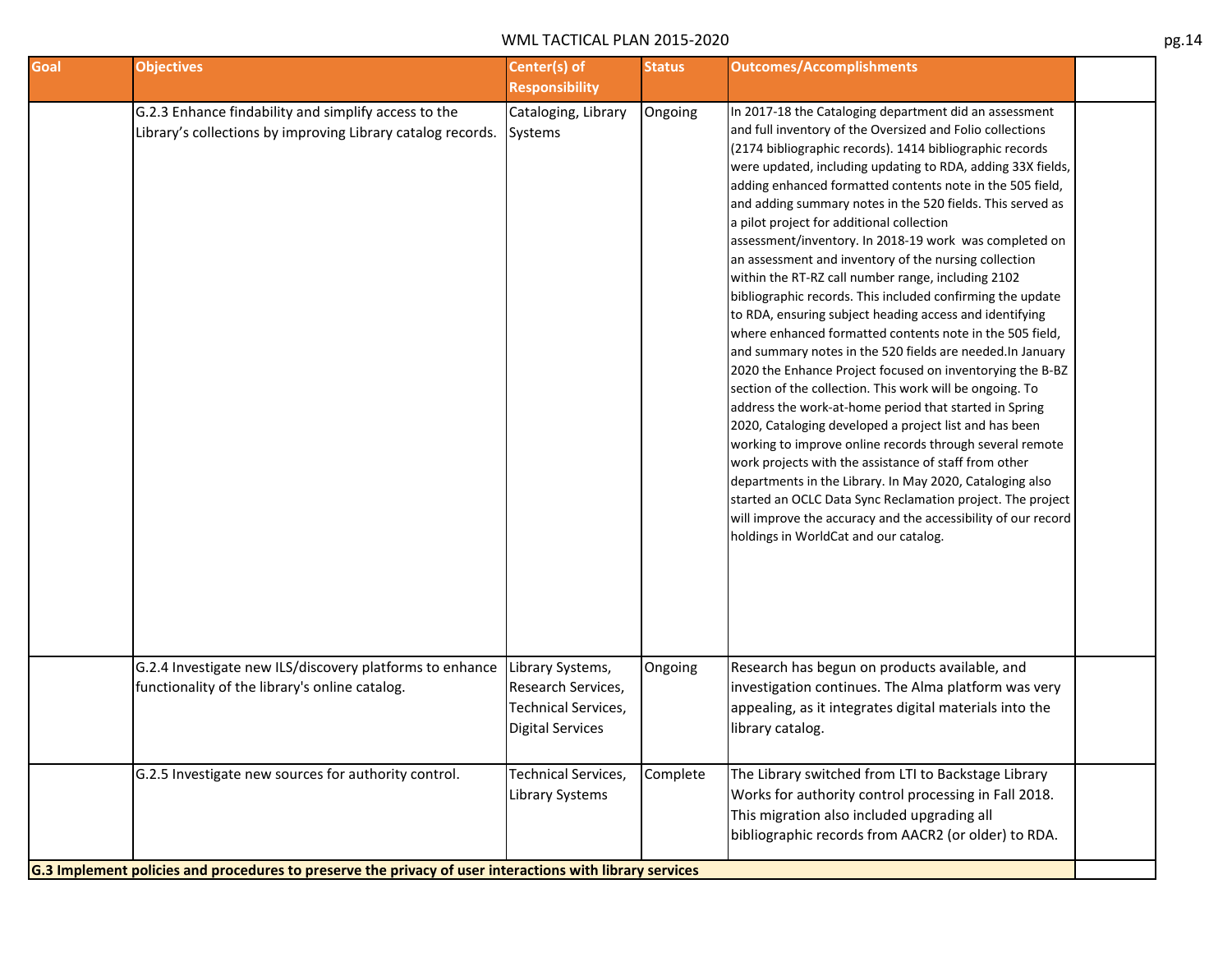| Goal | <b>Objectives</b>                                                                                                                                                | Center(s) of<br><b>Responsibility</b>                                                           | <b>Status</b> | <b>Outcomes/Accomplishments</b>                                                                                                                                                                                                                                                                                                                                                                                                                                                                                                                                                                                                                                                                                                                                                                                                                                                                                                                                                                                                                                                                                                                                                                                                                                                                                                                                                                                                                          |  |
|------|------------------------------------------------------------------------------------------------------------------------------------------------------------------|-------------------------------------------------------------------------------------------------|---------------|----------------------------------------------------------------------------------------------------------------------------------------------------------------------------------------------------------------------------------------------------------------------------------------------------------------------------------------------------------------------------------------------------------------------------------------------------------------------------------------------------------------------------------------------------------------------------------------------------------------------------------------------------------------------------------------------------------------------------------------------------------------------------------------------------------------------------------------------------------------------------------------------------------------------------------------------------------------------------------------------------------------------------------------------------------------------------------------------------------------------------------------------------------------------------------------------------------------------------------------------------------------------------------------------------------------------------------------------------------------------------------------------------------------------------------------------------------|--|
|      | G.2.3 Enhance findability and simplify access to the<br>Library's collections by improving Library catalog records.                                              | Cataloging, Library<br>Systems                                                                  | Ongoing       | In 2017-18 the Cataloging department did an assessment<br>and full inventory of the Oversized and Folio collections<br>(2174 bibliographic records). 1414 bibliographic records<br>were updated, including updating to RDA, adding 33X fields,<br>adding enhanced formatted contents note in the 505 field,<br>and adding summary notes in the 520 fields. This served as<br>a pilot project for additional collection<br>assessment/inventory. In 2018-19 work was completed on<br>an assessment and inventory of the nursing collection<br>within the RT-RZ call number range, including 2102<br>bibliographic records. This included confirming the update<br>to RDA, ensuring subject heading access and identifying<br>where enhanced formatted contents note in the 505 field,<br>and summary notes in the 520 fields are needed. In January<br>2020 the Enhance Project focused on inventorying the B-BZ<br>section of the collection. This work will be ongoing. To<br>address the work-at-home period that started in Spring<br>2020, Cataloging developed a project list and has been<br>working to improve online records through several remote<br>work projects with the assistance of staff from other<br>departments in the Library. In May 2020, Cataloging also<br>started an OCLC Data Sync Reclamation project. The project<br>will improve the accuracy and the accessibility of our record<br>holdings in WorldCat and our catalog. |  |
|      | G.2.4 Investigate new ILS/discovery platforms to enhance<br>functionality of the library's online catalog.                                                       | Library Systems,<br>Research Services,<br><b>Technical Services,</b><br><b>Digital Services</b> | Ongoing       | Research has begun on products available, and<br>investigation continues. The Alma platform was very<br>appealing, as it integrates digital materials into the<br>library catalog.                                                                                                                                                                                                                                                                                                                                                                                                                                                                                                                                                                                                                                                                                                                                                                                                                                                                                                                                                                                                                                                                                                                                                                                                                                                                       |  |
|      | G.2.5 Investigate new sources for authority control.<br>G.3 Implement policies and procedures to preserve the privacy of user interactions with library services | <b>Technical Services,</b><br>Library Systems                                                   | Complete      | The Library switched from LTI to Backstage Library<br>Works for authority control processing in Fall 2018.<br>This migration also included upgrading all<br>bibliographic records from AACR2 (or older) to RDA.                                                                                                                                                                                                                                                                                                                                                                                                                                                                                                                                                                                                                                                                                                                                                                                                                                                                                                                                                                                                                                                                                                                                                                                                                                          |  |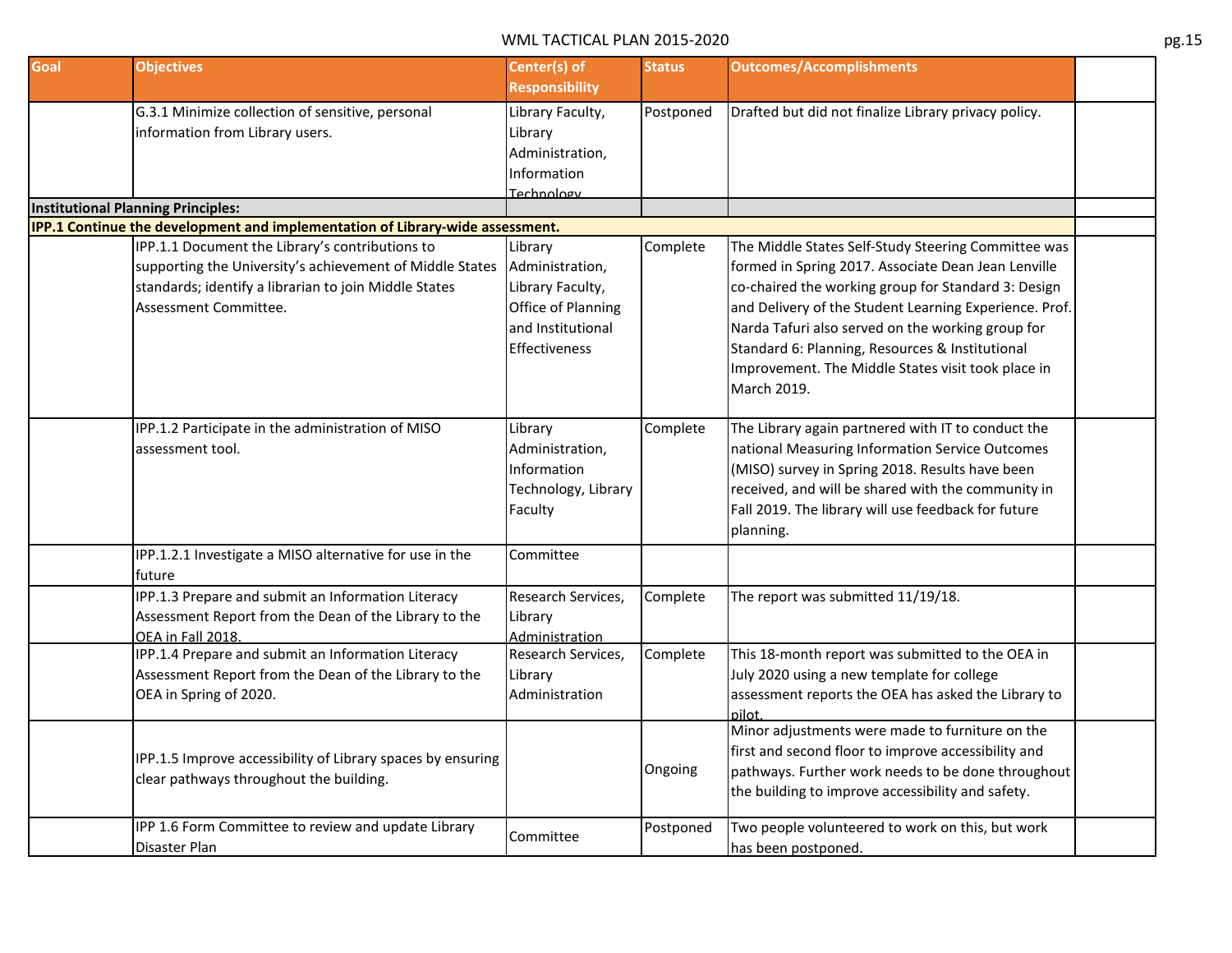| Goal | <b>Objectives</b>                                                             | Center(s) of          | <b>Status</b> | <b>Outcomes/Accomplishments</b>                        |  |
|------|-------------------------------------------------------------------------------|-----------------------|---------------|--------------------------------------------------------|--|
|      |                                                                               | <b>Responsibility</b> |               |                                                        |  |
|      | G.3.1 Minimize collection of sensitive, personal                              | Library Faculty,      | Postponed     | Drafted but did not finalize Library privacy policy.   |  |
|      | information from Library users.                                               | Library               |               |                                                        |  |
|      |                                                                               | Administration,       |               |                                                        |  |
|      |                                                                               | Information           |               |                                                        |  |
|      |                                                                               | Technology            |               |                                                        |  |
|      | <b>Institutional Planning Principles:</b>                                     |                       |               |                                                        |  |
|      | IPP.1 Continue the development and implementation of Library-wide assessment. |                       |               |                                                        |  |
|      | IPP.1.1 Document the Library's contributions to                               | Library               | Complete      | The Middle States Self-Study Steering Committee was    |  |
|      | supporting the University's achievement of Middle States                      | Administration,       |               | formed in Spring 2017. Associate Dean Jean Lenville    |  |
|      | standards; identify a librarian to join Middle States                         | Library Faculty,      |               | co-chaired the working group for Standard 3: Design    |  |
|      | Assessment Committee.                                                         | Office of Planning    |               | and Delivery of the Student Learning Experience. Prof. |  |
|      |                                                                               | and Institutional     |               | Narda Tafuri also served on the working group for      |  |
|      |                                                                               | <b>Effectiveness</b>  |               | Standard 6: Planning, Resources & Institutional        |  |
|      |                                                                               |                       |               | Improvement. The Middle States visit took place in     |  |
|      |                                                                               |                       |               | March 2019.                                            |  |
|      |                                                                               |                       |               |                                                        |  |
|      | IPP.1.2 Participate in the administration of MISO                             | Library               | Complete      | The Library again partnered with IT to conduct the     |  |
|      | assessment tool.                                                              | Administration,       |               | national Measuring Information Service Outcomes        |  |
|      |                                                                               | Information           |               | (MISO) survey in Spring 2018. Results have been        |  |
|      |                                                                               | Technology, Library   |               | received, and will be shared with the community in     |  |
|      |                                                                               | Faculty               |               | Fall 2019. The library will use feedback for future    |  |
|      |                                                                               |                       |               | planning.                                              |  |
|      |                                                                               |                       |               |                                                        |  |
|      | IPP.1.2.1 Investigate a MISO alternative for use in the                       | Committee             |               |                                                        |  |
|      | future                                                                        |                       |               |                                                        |  |
|      | IPP.1.3 Prepare and submit an Information Literacy                            | Research Services,    | Complete      | The report was submitted 11/19/18.                     |  |
|      | Assessment Report from the Dean of the Library to the                         | Library               |               |                                                        |  |
|      | OEA in Fall 2018.                                                             | Administration        |               |                                                        |  |
|      | IPP.1.4 Prepare and submit an Information Literacy                            | Research Services,    | Complete      | This 18-month report was submitted to the OEA in       |  |
|      | Assessment Report from the Dean of the Library to the                         | Library               |               | July 2020 using a new template for college             |  |
|      | OEA in Spring of 2020.                                                        | Administration        |               | assessment reports the OEA has asked the Library to    |  |
|      |                                                                               |                       |               | nilot.                                                 |  |
|      |                                                                               |                       |               | Minor adjustments were made to furniture on the        |  |
|      | IPP.1.5 Improve accessibility of Library spaces by ensuring                   |                       |               | first and second floor to improve accessibility and    |  |
|      | clear pathways throughout the building.                                       |                       | Ongoing       | pathways. Further work needs to be done throughout     |  |
|      |                                                                               |                       |               | the building to improve accessibility and safety.      |  |
|      | IPP 1.6 Form Committee to review and update Library                           |                       |               | Two people volunteered to work on this, but work       |  |
|      | Disaster Plan                                                                 | Committee             | Postponed     |                                                        |  |
|      |                                                                               |                       |               | has been postponed.                                    |  |